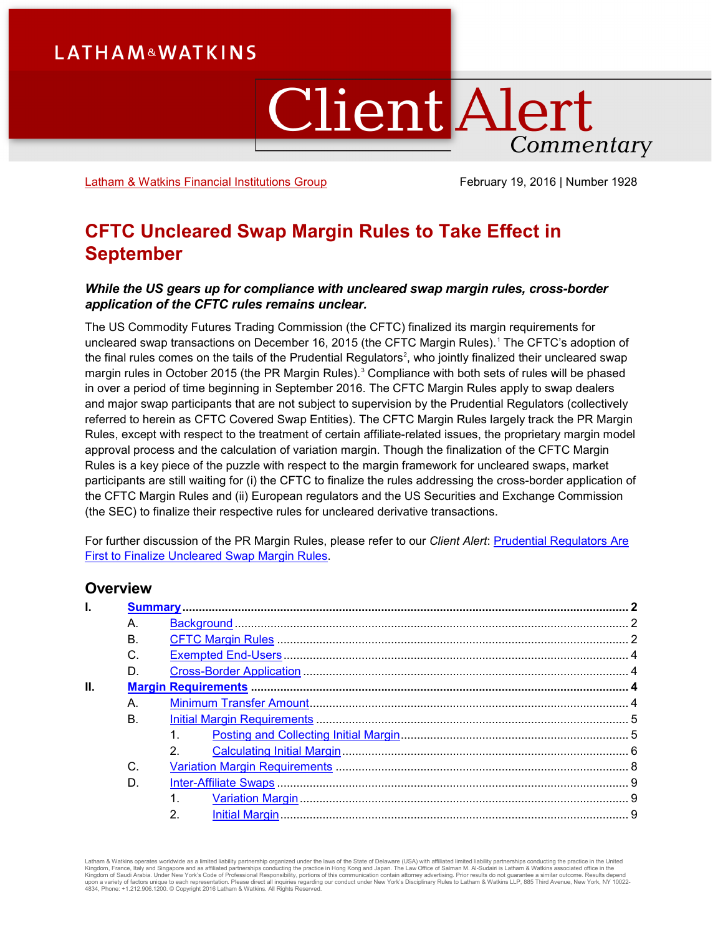# **LATHAM&WATKINS**

# **Client Alert** Commentary

[Latham & Watkins Financial Institutions Group](https://www.lw.com/industries/FinancialInstitutions) February 19, 2016 | Number 1928

# **CFTC Uncleared Swap Margin Rules to Take Effect in September**

#### *While the US gears up for compliance with uncleared swap margin rules, cross-border application of the CFTC rules remains unclear.*

The US Commodity Futures Trading Commission (the CFTC) finalized its margin requirements for uncleared swap transactions on December [1](#page-17-0)6, 2015 (the CFTC Margin Rules).<sup>1</sup> The CFTC's adoption of the final rules comes on the tails of the Prudential Regulators $^2$  $^2$ , who jointly finalized their uncleared swap margin rules in October 2015 (the PR Margin Rules). [3](#page-17-2) Compliance with both sets of rules will be phased in over a period of time beginning in September 2016. The CFTC Margin Rules apply to swap dealers and major swap participants that are not subject to supervision by the Prudential Regulators (collectively referred to herein as CFTC Covered Swap Entities). The CFTC Margin Rules largely track the PR Margin Rules, except with respect to the treatment of certain affiliate-related issues, the proprietary margin model approval process and the calculation of variation margin. Though the finalization of the CFTC Margin Rules is a key piece of the puzzle with respect to the margin framework for uncleared swaps, market participants are still waiting for (i) the CFTC to finalize the rules addressing the cross-border application of the CFTC Margin Rules and (ii) European regulators and the US Securities and Exchange Commission (the SEC) to finalize their respective rules for uncleared derivative transactions.

For further discussion of the PR Margin Rules, please refer to our *Client Alert*: [Prudential Regulators Are](https://www.lw.com/thoughtLeadership/LW-prudential-regulators-finalize-uncleared-swap-margin-rules)  [First to Finalize Uncleared Swap Margin Rules.](https://www.lw.com/thoughtLeadership/LW-prudential-regulators-finalize-uncleared-swap-margin-rules)

# **Overview**

| I. |    |                  |  |
|----|----|------------------|--|
|    | А. |                  |  |
|    | В. |                  |  |
|    | C. |                  |  |
|    | D. |                  |  |
| П. |    |                  |  |
|    | А. |                  |  |
|    | B. |                  |  |
|    |    |                  |  |
|    |    | 2.               |  |
|    | C. |                  |  |
|    | D. |                  |  |
|    |    |                  |  |
|    |    | $\overline{2}$ . |  |
|    |    |                  |  |

Latham & Watkins operates wordwide as a limited liability partnership organized under the laws of the State of Delaware (USA) with affiliated plimited liability partnerships conducting the practice in the United Limited Li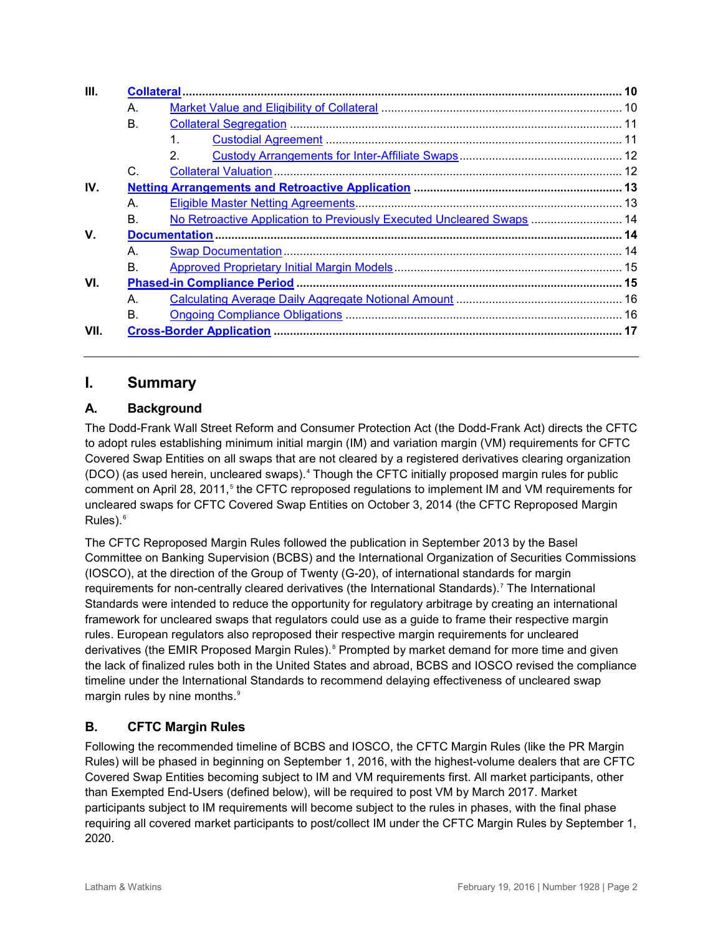| III.                                                                        |  |  |
|-----------------------------------------------------------------------------|--|--|
| A.                                                                          |  |  |
| В.                                                                          |  |  |
| 1.                                                                          |  |  |
| $\mathcal{P}$                                                               |  |  |
| C.                                                                          |  |  |
| IV.                                                                         |  |  |
| A.                                                                          |  |  |
| No Retroactive Application to Previously Executed Uncleared Swaps  14<br>В. |  |  |
|                                                                             |  |  |
| A.                                                                          |  |  |
| В.                                                                          |  |  |
| VI.                                                                         |  |  |
| A.                                                                          |  |  |
| В.                                                                          |  |  |
| VII.                                                                        |  |  |

# <span id="page-1-0"></span>**I. Summary**

# <span id="page-1-1"></span>**A. Background**

The Dodd-Frank Wall Street Reform and Consumer Protection Act (the Dodd-Frank Act) directs the CFTC to adopt rules establishing minimum initial margin (IM) and variation margin (VM) requirements for CFTC Covered Swap Entities on all swaps that are not cleared by a registered derivatives clearing organization (DCO) (as used herein, uncleared swaps).[4](#page-17-3) Though the CFTC initially proposed margin rules for public comment on April 28, 2011,<sup>[5](#page-17-4)</sup> the CFTC reproposed regulations to implement IM and VM requirements for uncleared swaps for CFTC Covered Swap Entities on October 3, 2014 (the CFTC Reproposed Margin Rules). $6$ 

The CFTC Reproposed Margin Rules followed the publication in September 2013 by the Basel Committee on Banking Supervision (BCBS) and the International Organization of Securities Commissions (IOSCO), at the direction of the Group of Twenty (G-20), of international standards for margin requirements for non-centrally cleared derivatives (the International Standards).<sup>[7](#page-17-6)</sup> The International Standards were intended to reduce the opportunity for regulatory arbitrage by creating an international framework for uncleared swaps that regulators could use as a guide to frame their respective margin rules. European regulators also reproposed their respective margin requirements for uncleared derivatives (the EMIR Proposed Margin Rules).<sup>[8](#page-17-7)</sup> Prompted by market demand for more time and given the lack of finalized rules both in the United States and abroad, BCBS and IOSCO revised the compliance timeline under the International Standards to recommend delaying effectiveness of uncleared swap margin rules by nine months.<sup>[9](#page-17-8)</sup>

# <span id="page-1-2"></span>**B. CFTC Margin Rules**

Following the recommended timeline of BCBS and IOSCO, the CFTC Margin Rules (like the PR Margin Rules) will be phased in beginning on September 1, 2016, with the highest-volume dealers that are CFTC Covered Swap Entities becoming subject to IM and VM requirements first. All market participants, other than Exempted End-Users (defined below), will be required to post VM by March 2017. Market participants subject to IM requirements will become subject to the rules in phases, with the final phase requiring all covered market participants to post/collect IM under the CFTC Margin Rules by September 1, 2020.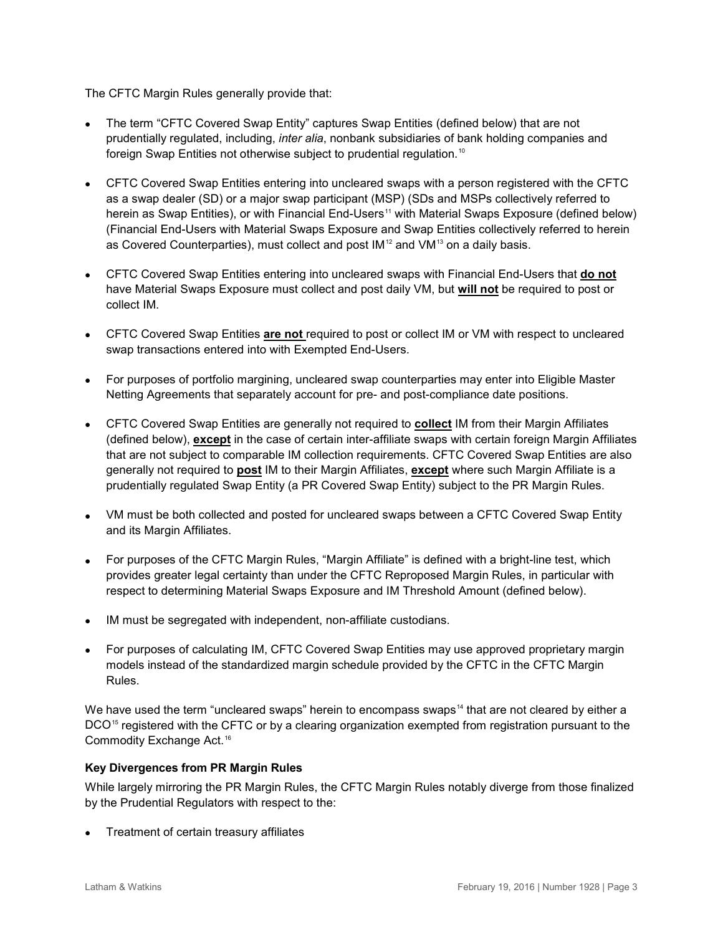The CFTC Margin Rules generally provide that:

- The term "CFTC Covered Swap Entity" captures Swap Entities (defined below) that are not prudentially regulated, including, *inter alia*, nonbank subsidiaries of bank holding companies and foreign Swap Entities not otherwise subject to prudential regulation.<sup>[10](#page-17-9)</sup>
- CFTC Covered Swap Entities entering into uncleared swaps with a person registered with the CFTC as a swap dealer (SD) or a major swap participant (MSP) (SDs and MSPs collectively referred to herein as Swap Entities), or with Financial End-Users<sup>[11](#page-17-10)</sup> with Material Swaps Exposure (defined below) (Financial End-Users with Material Swaps Exposure and Swap Entities collectively referred to herein as Covered Counterparties), must collect and post  $IM^{12}$  $IM^{12}$  $IM^{12}$  and  $VM^{13}$  $VM^{13}$  $VM^{13}$  on a daily basis.
- CFTC Covered Swap Entities entering into uncleared swaps with Financial End-Users that **do not**  have Material Swaps Exposure must collect and post daily VM, but **will not** be required to post or collect IM.
- CFTC Covered Swap Entities **are not** required to post or collect IM or VM with respect to uncleared swap transactions entered into with Exempted End-Users.
- For purposes of portfolio margining, uncleared swap counterparties may enter into Eligible Master Netting Agreements that separately account for pre- and post-compliance date positions.
- CFTC Covered Swap Entities are generally not required to **collect** IM from their Margin Affiliates (defined below), **except** in the case of certain inter-affiliate swaps with certain foreign Margin Affiliates that are not subject to comparable IM collection requirements. CFTC Covered Swap Entities are also generally not required to **post** IM to their Margin Affiliates, **except** where such Margin Affiliate is a prudentially regulated Swap Entity (a PR Covered Swap Entity) subject to the PR Margin Rules.
- VM must be both collected and posted for uncleared swaps between a CFTC Covered Swap Entity and its Margin Affiliates.
- For purposes of the CFTC Margin Rules, "Margin Affiliate" is defined with a bright-line test, which provides greater legal certainty than under the CFTC Reproposed Margin Rules, in particular with respect to determining Material Swaps Exposure and IM Threshold Amount (defined below).
- IM must be segregated with independent, non-affiliate custodians.
- For purposes of calculating IM, CFTC Covered Swap Entities may use approved proprietary margin models instead of the standardized margin schedule provided by the CFTC in the CFTC Margin Rules.

We have used the term "uncleared swaps" herein to encompass swaps<sup>[14](#page-18-2)</sup> that are not cleared by either a DCO<sup>[15](#page-18-3)</sup> registered with the CFTC or by a clearing organization exempted from registration pursuant to the Commodity Exchange Act.<sup>[16](#page-18-4)</sup>

#### **Key Divergences from PR Margin Rules**

While largely mirroring the PR Margin Rules, the CFTC Margin Rules notably diverge from those finalized by the Prudential Regulators with respect to the:

• Treatment of certain treasury affiliates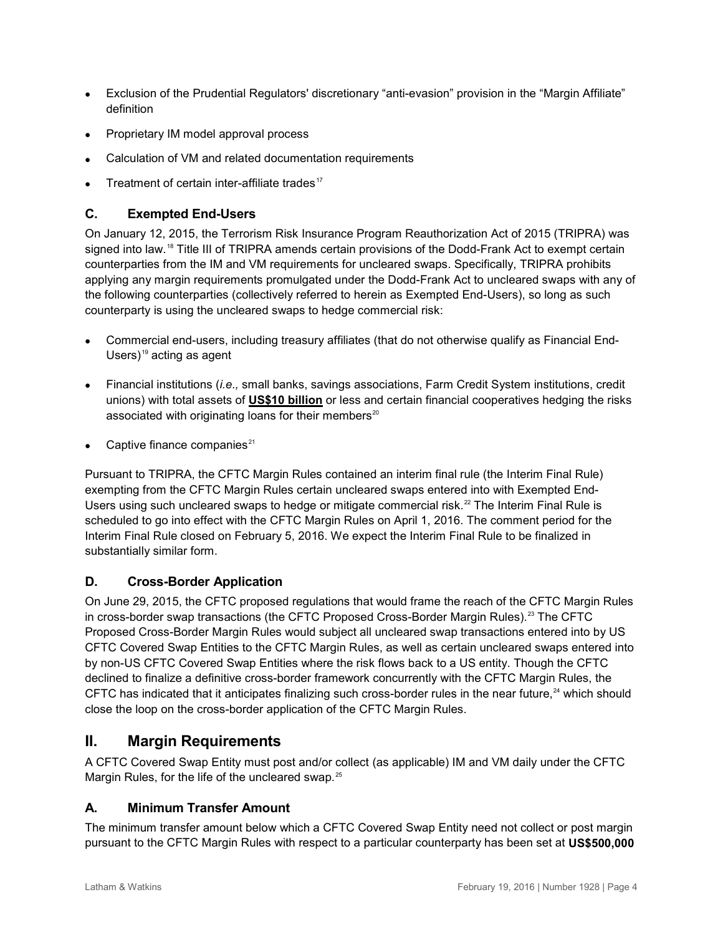- Exclusion of the Prudential Regulators' discretionary "anti-evasion" provision in the "Margin Affiliate" definition
- Proprietary IM model approval process
- Calculation of VM and related documentation requirements
- Treatment of certain inter-affiliate trades<sup>[17](#page-18-5)</sup>

# <span id="page-3-0"></span>**C. Exempted End-Users**

On January 12, 2015, the Terrorism Risk Insurance Program Reauthorization Act of 2015 (TRIPRA) was signed into law.<sup>[18](#page-19-0)</sup> Title III of TRIPRA amends certain provisions of the Dodd-Frank Act to exempt certain counterparties from the IM and VM requirements for uncleared swaps. Specifically, TRIPRA prohibits applying any margin requirements promulgated under the Dodd-Frank Act to uncleared swaps with any of the following counterparties (collectively referred to herein as Exempted End-Users), so long as such counterparty is using the uncleared swaps to hedge commercial risk:

- Commercial end-users, including treasury affiliates (that do not otherwise qualify as Financial End-Users) $19$  acting as agent
- Financial institutions (*i.e.,* small banks, savings associations, Farm Credit System institutions, credit unions) with total assets of **US\$10 billion** or less and certain financial cooperatives hedging the risks associated with originating loans for their members $20$
- Captive finance companies<sup>[21](#page-19-3)</sup>

Pursuant to TRIPRA, the CFTC Margin Rules contained an interim final rule (the Interim Final Rule) exempting from the CFTC Margin Rules certain uncleared swaps entered into with Exempted End-Users using such uncleared swaps to hedge or mitigate commercial risk.<sup>[22](#page-19-4)</sup> The Interim Final Rule is scheduled to go into effect with the CFTC Margin Rules on April 1, 2016. The comment period for the Interim Final Rule closed on February 5, 2016. We expect the Interim Final Rule to be finalized in substantially similar form.

# <span id="page-3-1"></span>**D. Cross-Border Application**

On June 29, 2015, the CFTC proposed regulations that would frame the reach of the CFTC Margin Rules in cross-border swap transactions (the CFTC Proposed Cross-Border Margin Rules).<sup>[23](#page-19-5)</sup> The CFTC Proposed Cross-Border Margin Rules would subject all uncleared swap transactions entered into by US CFTC Covered Swap Entities to the CFTC Margin Rules, as well as certain uncleared swaps entered into by non-US CFTC Covered Swap Entities where the risk flows back to a US entity. Though the CFTC declined to finalize a definitive cross-border framework concurrently with the CFTC Margin Rules, the CFTC has indicated that it anticipates finalizing such cross-border rules in the near future,<sup>[24](#page-19-6)</sup> which should close the loop on the cross-border application of the CFTC Margin Rules.

# <span id="page-3-2"></span>**II. Margin Requirements**

A CFTC Covered Swap Entity must post and/or collect (as applicable) IM and VM daily under the CFTC Margin Rules, for the life of the uncleared swap.<sup>[25](#page-19-7)</sup>

#### <span id="page-3-3"></span>**A. Minimum Transfer Amount**

The minimum transfer amount below which a CFTC Covered Swap Entity need not collect or post margin pursuant to the CFTC Margin Rules with respect to a particular counterparty has been set at **US\$500,000**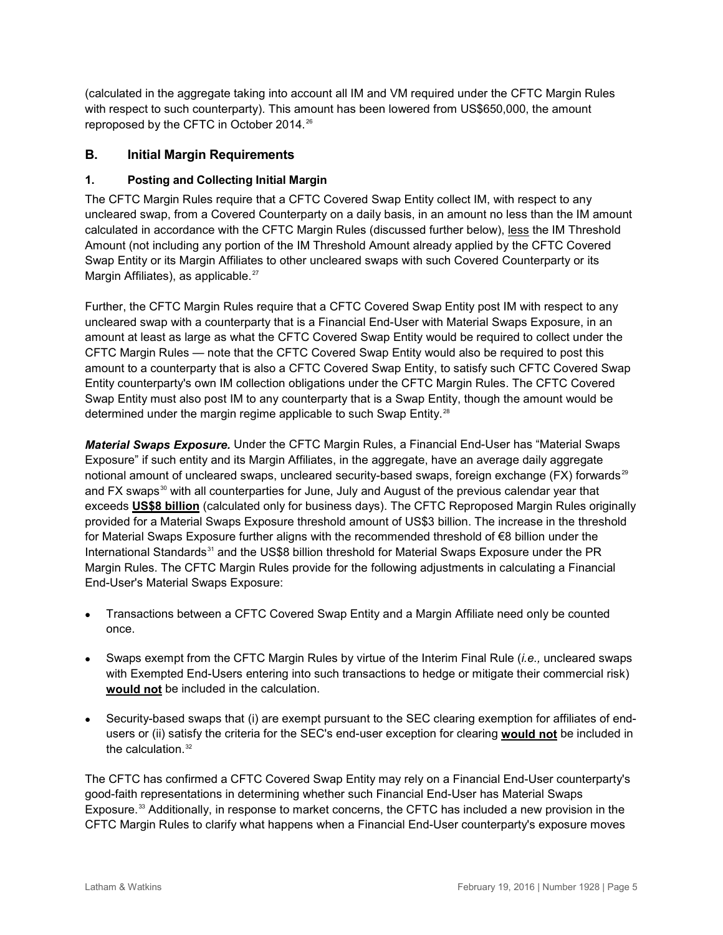(calculated in the aggregate taking into account all IM and VM required under the CFTC Margin Rules with respect to such counterparty). This amount has been lowered from US\$650,000, the amount reproposed by the CFTC in October 2014. [26](#page-19-8)

#### <span id="page-4-0"></span>**B. Initial Margin Requirements**

#### <span id="page-4-1"></span>**1. Posting and Collecting Initial Margin**

The CFTC Margin Rules require that a CFTC Covered Swap Entity collect IM, with respect to any uncleared swap, from a Covered Counterparty on a daily basis, in an amount no less than the IM amount calculated in accordance with the CFTC Margin Rules (discussed further below), less the IM Threshold Amount (not including any portion of the IM Threshold Amount already applied by the CFTC Covered Swap Entity or its Margin Affiliates to other uncleared swaps with such Covered Counterparty or its Margin Affiliates), as applicable.<sup>[27](#page-19-9)</sup>

Further, the CFTC Margin Rules require that a CFTC Covered Swap Entity post IM with respect to any uncleared swap with a counterparty that is a Financial End-User with Material Swaps Exposure, in an amount at least as large as what the CFTC Covered Swap Entity would be required to collect under the CFTC Margin Rules — note that the CFTC Covered Swap Entity would also be required to post this amount to a counterparty that is also a CFTC Covered Swap Entity, to satisfy such CFTC Covered Swap Entity counterparty's own IM collection obligations under the CFTC Margin Rules. The CFTC Covered Swap Entity must also post IM to any counterparty that is a Swap Entity, though the amount would be determined under the margin regime applicable to such Swap Entity.<sup>[28](#page-19-10)</sup>

*Material Swaps Exposure.* Under the CFTC Margin Rules, a Financial End-User has "Material Swaps Exposure" if such entity and its Margin Affiliates, in the aggregate, have an average daily aggregate notional amount of uncleared swaps, uncleared security-based swaps, foreign exchange (FX) forwards<sup>[29](#page-19-11)</sup> and FX swaps<sup>[30](#page-19-12)</sup> with all counterparties for June, July and August of the previous calendar year that exceeds **US\$8 billion** (calculated only for business days). The CFTC Reproposed Margin Rules originally provided for a Material Swaps Exposure threshold amount of US\$3 billion. The increase in the threshold for Material Swaps Exposure further aligns with the recommended threshold of €8 billion under the International Standards<sup>[31](#page-19-13)</sup> and the US\$8 billion threshold for Material Swaps Exposure under the PR Margin Rules. The CFTC Margin Rules provide for the following adjustments in calculating a Financial End-User's Material Swaps Exposure:

- Transactions between a CFTC Covered Swap Entity and a Margin Affiliate need only be counted once.
- Swaps exempt from the CFTC Margin Rules by virtue of the Interim Final Rule (*i.e.,* uncleared swaps with Exempted End-Users entering into such transactions to hedge or mitigate their commercial risk) **would not** be included in the calculation.
- Security-based swaps that (i) are exempt pursuant to the SEC clearing exemption for affiliates of endusers or (ii) satisfy the criteria for the SEC's end-user exception for clearing **would not** be included in the calculation. $32$

The CFTC has confirmed a CFTC Covered Swap Entity may rely on a Financial End-User counterparty's good-faith representations in determining whether such Financial End-User has Material Swaps Exposure.<sup>[33](#page-19-15)</sup> Additionally, in response to market concerns, the CFTC has included a new provision in the CFTC Margin Rules to clarify what happens when a Financial End-User counterparty's exposure moves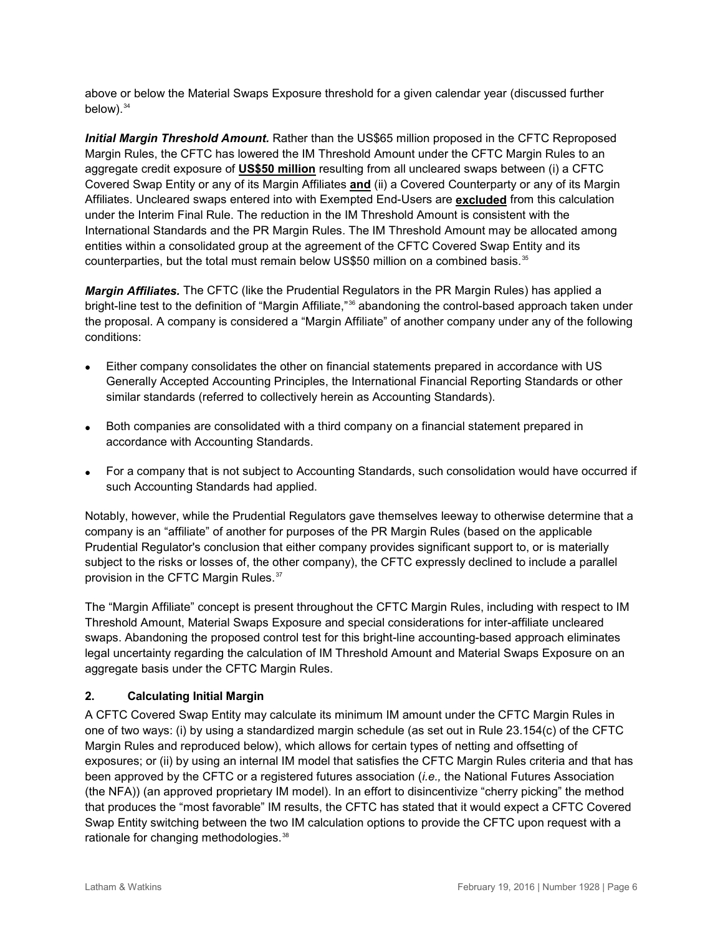above or below the Material Swaps Exposure threshold for a given calendar year (discussed further below). [34](#page-19-16)

*Initial Margin Threshold Amount.* Rather than the US\$65 million proposed in the CFTC Reproposed Margin Rules, the CFTC has lowered the IM Threshold Amount under the CFTC Margin Rules to an aggregate credit exposure of **US\$50 million** resulting from all uncleared swaps between (i) a CFTC Covered Swap Entity or any of its Margin Affiliates **and** (ii) a Covered Counterparty or any of its Margin Affiliates. Uncleared swaps entered into with Exempted End-Users are **excluded** from this calculation under the Interim Final Rule. The reduction in the IM Threshold Amount is consistent with the International Standards and the PR Margin Rules. The IM Threshold Amount may be allocated among entities within a consolidated group at the agreement of the CFTC Covered Swap Entity and its counterparties, but the total must remain below US\$50 million on a combined basis.<sup>[35](#page-19-17)</sup>

*Margin Affiliates.* The CFTC (like the Prudential Regulators in the PR Margin Rules) has applied a bright-line test to the definition of "Margin Affiliate,"<sup>[36](#page-19-18)</sup> abandoning the control-based approach taken under the proposal. A company is considered a "Margin Affiliate" of another company under any of the following conditions:

- Either company consolidates the other on financial statements prepared in accordance with US Generally Accepted Accounting Principles, the International Financial Reporting Standards or other similar standards (referred to collectively herein as Accounting Standards).
- Both companies are consolidated with a third company on a financial statement prepared in accordance with Accounting Standards.
- For a company that is not subject to Accounting Standards, such consolidation would have occurred if such Accounting Standards had applied.

Notably, however, while the Prudential Regulators gave themselves leeway to otherwise determine that a company is an "affiliate" of another for purposes of the PR Margin Rules (based on the applicable Prudential Regulator's conclusion that either company provides significant support to, or is materially subject to the risks or losses of, the other company), the CFTC expressly declined to include a parallel provision in the CFTC Margin Rules.<sup>[37](#page-19-19)</sup>

The "Margin Affiliate" concept is present throughout the CFTC Margin Rules, including with respect to IM Threshold Amount, Material Swaps Exposure and special considerations for inter-affiliate uncleared swaps. Abandoning the proposed control test for this bright-line accounting-based approach eliminates legal uncertainty regarding the calculation of IM Threshold Amount and Material Swaps Exposure on an aggregate basis under the CFTC Margin Rules.

#### <span id="page-5-0"></span>**2. Calculating Initial Margin**

A CFTC Covered Swap Entity may calculate its minimum IM amount under the CFTC Margin Rules in one of two ways: (i) by using a standardized margin schedule (as set out in Rule 23.154(c) of the CFTC Margin Rules and reproduced below), which allows for certain types of netting and offsetting of exposures; or (ii) by using an internal IM model that satisfies the CFTC Margin Rules criteria and that has been approved by the CFTC or a registered futures association (*i.e.,* the National Futures Association (the NFA)) (an approved proprietary IM model). In an effort to disincentivize "cherry picking" the method that produces the "most favorable" IM results, the CFTC has stated that it would expect a CFTC Covered Swap Entity switching between the two IM calculation options to provide the CFTC upon request with a rationale for changing methodologies.<sup>[38](#page-19-20)</sup>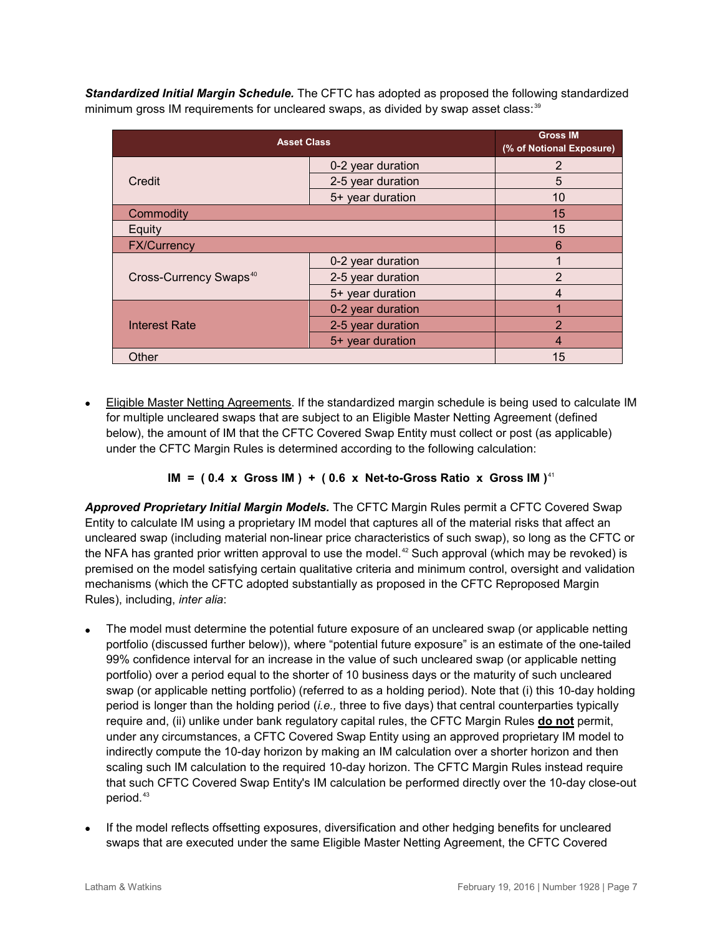*Standardized Initial Margin Schedule.* The CFTC has adopted as proposed the following standardized minimum gross IM requirements for uncleared swaps, as divided by swap asset class:<sup>[39](#page-19-21)</sup>

| <b>Asset Class</b>                 | <b>Gross IM</b><br>(% of Notional Exposure) |                |
|------------------------------------|---------------------------------------------|----------------|
|                                    | 0-2 year duration                           | 2              |
| Credit                             | 2-5 year duration                           | 5              |
|                                    | 5+ year duration                            | 10             |
| Commodity                          |                                             | 15             |
| Equity                             |                                             | 15             |
| <b>FX/Currency</b>                 | 6                                           |                |
|                                    | 0-2 year duration                           |                |
| Cross-Currency Swaps <sup>40</sup> | 2-5 year duration                           | 2              |
|                                    | 5+ year duration                            | 4              |
|                                    | 0-2 year duration                           |                |
| <b>Interest Rate</b>               | 2-5 year duration                           | $\overline{2}$ |
|                                    | 5+ year duration                            | 4              |
| Other                              | 15                                          |                |

• Eligible Master Netting Agreements. If the standardized margin schedule is being used to calculate IM for multiple uncleared swaps that are subject to an Eligible Master Netting Agreement (defined below), the amount of IM that the CFTC Covered Swap Entity must collect or post (as applicable) under the CFTC Margin Rules is determined according to the following calculation:

#### **IM = ( 0.4 x Gross IM ) + ( 0.6 x Net-to-Gross Ratio x Gross IM )**[41](#page-19-23)

*Approved Proprietary Initial Margin Models.* The CFTC Margin Rules permit a CFTC Covered Swap Entity to calculate IM using a proprietary IM model that captures all of the material risks that affect an uncleared swap (including material non-linear price characteristics of such swap), so long as the CFTC or the NFA has granted prior written approval to use the model.<sup>[42](#page-19-24)</sup> Such approval (which may be revoked) is premised on the model satisfying certain qualitative criteria and minimum control, oversight and validation mechanisms (which the CFTC adopted substantially as proposed in the CFTC Reproposed Margin Rules), including, *inter alia*:

- The model must determine the potential future exposure of an uncleared swap (or applicable netting portfolio (discussed further below)), where "potential future exposure" is an estimate of the one-tailed 99% confidence interval for an increase in the value of such uncleared swap (or applicable netting portfolio) over a period equal to the shorter of 10 business days or the maturity of such uncleared swap (or applicable netting portfolio) (referred to as a holding period). Note that (i) this 10-day holding period is longer than the holding period (*i.e.,* three to five days) that central counterparties typically require and, (ii) unlike under bank regulatory capital rules, the CFTC Margin Rules **do not** permit, under any circumstances, a CFTC Covered Swap Entity using an approved proprietary IM model to indirectly compute the 10-day horizon by making an IM calculation over a shorter horizon and then scaling such IM calculation to the required 10-day horizon. The CFTC Margin Rules instead require that such CFTC Covered Swap Entity's IM calculation be performed directly over the 10-day close-out period.<sup>[43](#page-19-25)</sup>
- If the model reflects offsetting exposures, diversification and other hedging benefits for uncleared swaps that are executed under the same Eligible Master Netting Agreement, the CFTC Covered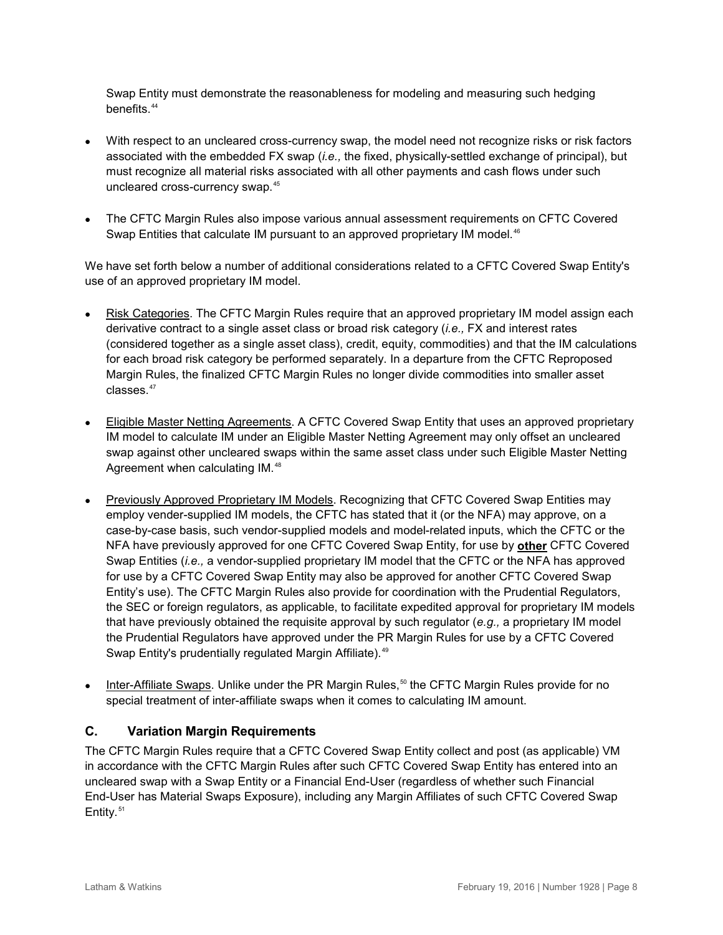Swap Entity must demonstrate the reasonableness for modeling and measuring such hedging benefits.<sup>[44](#page-19-26)</sup>

- With respect to an uncleared cross-currency swap, the model need not recognize risks or risk factors associated with the embedded FX swap (*i.e.,* the fixed, physically-settled exchange of principal), but must recognize all material risks associated with all other payments and cash flows under such uncleared cross-currency swap.<sup>[45](#page-19-27)</sup>
- The CFTC Margin Rules also impose various annual assessment requirements on CFTC Covered Swap Entities that calculate IM pursuant to an approved proprietary IM model.<sup>[46](#page-19-28)</sup>

We have set forth below a number of additional considerations related to a CFTC Covered Swap Entity's use of an approved proprietary IM model.

- Risk Categories. The CFTC Margin Rules require that an approved proprietary IM model assign each derivative contract to a single asset class or broad risk category (*i.e.,* FX and interest rates (considered together as a single asset class), credit, equity, commodities) and that the IM calculations for each broad risk category be performed separately. In a departure from the CFTC Reproposed Margin Rules, the finalized CFTC Margin Rules no longer divide commodities into smaller asset classes.<sup>[47](#page-20-0)</sup>
- Eligible Master Netting Agreements. A CFTC Covered Swap Entity that uses an approved proprietary IM model to calculate IM under an Eligible Master Netting Agreement may only offset an uncleared swap against other uncleared swaps within the same asset class under such Eligible Master Netting Agreement when calculating IM.<sup>[48](#page-20-1)</sup>
- Previously Approved Proprietary IM Models. Recognizing that CFTC Covered Swap Entities may employ vender-supplied IM models, the CFTC has stated that it (or the NFA) may approve, on a case-by-case basis, such vendor-supplied models and model-related inputs, which the CFTC or the NFA have previously approved for one CFTC Covered Swap Entity, for use by **other** CFTC Covered Swap Entities (*i.e.,* a vendor-supplied proprietary IM model that the CFTC or the NFA has approved for use by a CFTC Covered Swap Entity may also be approved for another CFTC Covered Swap Entity's use). The CFTC Margin Rules also provide for coordination with the Prudential Regulators, the SEC or foreign regulators, as applicable, to facilitate expedited approval for proprietary IM models that have previously obtained the requisite approval by such regulator (*e.g.,* a proprietary IM model the Prudential Regulators have approved under the PR Margin Rules for use by a CFTC Covered Swap Entity's prudentially regulated Margin Affiliate).<sup>[49](#page-20-2)</sup>
- Inter-Affiliate Swaps. Unlike under the PR Margin Rules,<sup>[50](#page-20-3)</sup> the CFTC Margin Rules provide for no special treatment of inter-affiliate swaps when it comes to calculating IM amount.

#### <span id="page-7-0"></span>**C. Variation Margin Requirements**

The CFTC Margin Rules require that a CFTC Covered Swap Entity collect and post (as applicable) VM in accordance with the CFTC Margin Rules after such CFTC Covered Swap Entity has entered into an uncleared swap with a Swap Entity or a Financial End-User (regardless of whether such Financial End-User has Material Swaps Exposure), including any Margin Affiliates of such CFTC Covered Swap Entity. [51](#page-20-4)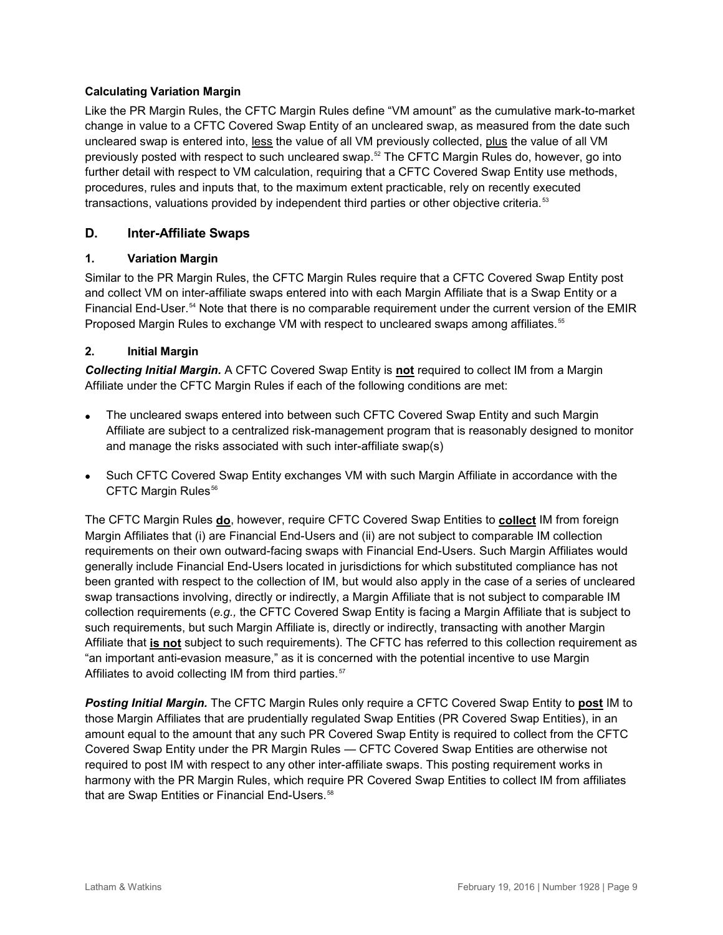#### **Calculating Variation Margin**

Like the PR Margin Rules, the CFTC Margin Rules define "VM amount" as the cumulative mark-to-market change in value to a CFTC Covered Swap Entity of an uncleared swap, as measured from the date such uncleared swap is entered into, less the value of all VM previously collected, plus the value of all VM previously posted with respect to such uncleared swap.<sup>s</sup> The CFTC Margin Rules do, however, go into further detail with respect to VM calculation, requiring that a CFTC Covered Swap Entity use methods, procedures, rules and inputs that, to the maximum extent practicable, rely on recently executed transactions, valuations provided by independent third parties or other objective criteria.<sup>[53](#page-20-6)</sup>

#### <span id="page-8-0"></span>**D. Inter-Affiliate Swaps**

#### <span id="page-8-1"></span>**1. Variation Margin**

Similar to the PR Margin Rules, the CFTC Margin Rules require that a CFTC Covered Swap Entity post and collect VM on inter-affiliate swaps entered into with each Margin Affiliate that is a Swap Entity or a Financial End-User.<sup>[54](#page-20-7)</sup> Note that there is no comparable requirement under the current version of the EMIR Proposed Margin Rules to exchange VM with respect to uncleared swaps among affiliates.<sup>[55](#page-20-8)</sup>

#### <span id="page-8-2"></span>**2. Initial Margin**

*Collecting Initial Margin.* A CFTC Covered Swap Entity is **not** required to collect IM from a Margin Affiliate under the CFTC Margin Rules if each of the following conditions are met:

- The uncleared swaps entered into between such CFTC Covered Swap Entity and such Margin Affiliate are subject to a centralized risk-management program that is reasonably designed to monitor and manage the risks associated with such inter-affiliate swap(s)
- Such CFTC Covered Swap Entity exchanges VM with such Margin Affiliate in accordance with the CFTC Margin Rules<sup>[56](#page-20-9)</sup>

The CFTC Margin Rules **do**, however, require CFTC Covered Swap Entities to **collect** IM from foreign Margin Affiliates that (i) are Financial End-Users and (ii) are not subject to comparable IM collection requirements on their own outward-facing swaps with Financial End-Users. Such Margin Affiliates would generally include Financial End-Users located in jurisdictions for which substituted compliance has not been granted with respect to the collection of IM, but would also apply in the case of a series of uncleared swap transactions involving, directly or indirectly, a Margin Affiliate that is not subject to comparable IM collection requirements (*e.g.,* the CFTC Covered Swap Entity is facing a Margin Affiliate that is subject to such requirements, but such Margin Affiliate is, directly or indirectly, transacting with another Margin Affiliate that **is not** subject to such requirements). The CFTC has referred to this collection requirement as "an important anti-evasion measure," as it is concerned with the potential incentive to use Margin Affiliates to avoid collecting IM from third parties.<sup>[57](#page-20-10)</sup>

*Posting Initial Margin.* The CFTC Margin Rules only require a CFTC Covered Swap Entity to **post** IM to those Margin Affiliates that are prudentially regulated Swap Entities (PR Covered Swap Entities), in an amount equal to the amount that any such PR Covered Swap Entity is required to collect from the CFTC Covered Swap Entity under the PR Margin Rules — CFTC Covered Swap Entities are otherwise not required to post IM with respect to any other inter-affiliate swaps. This posting requirement works in harmony with the PR Margin Rules, which require PR Covered Swap Entities to collect IM from affiliates that are Swap Entities or Financial End-Users.<sup>[58](#page-20-11)</sup>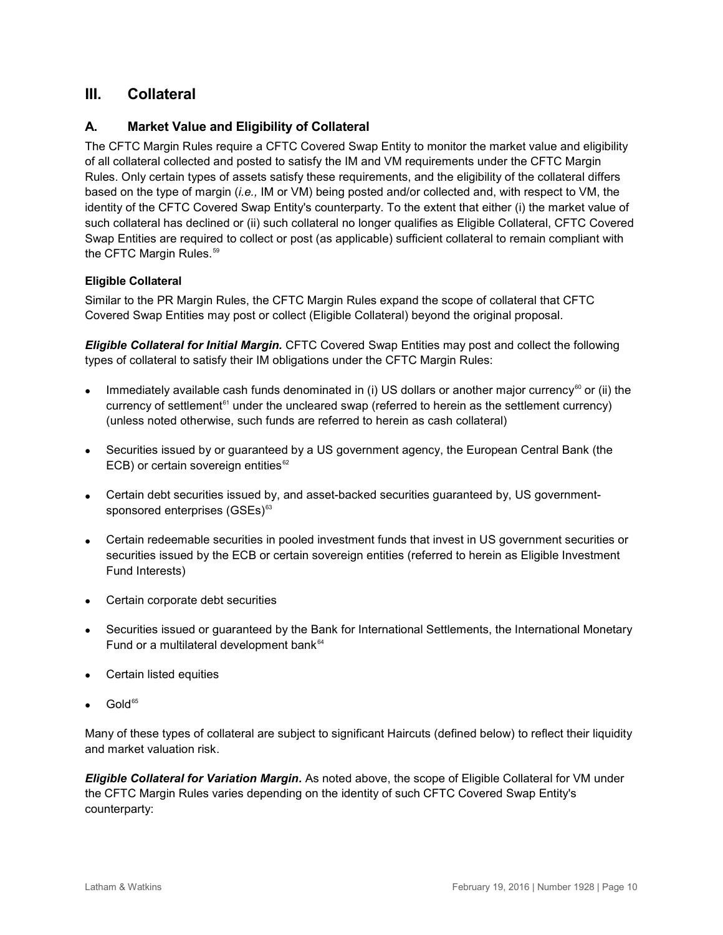# <span id="page-9-0"></span>**III. Collateral**

## <span id="page-9-1"></span>**A. Market Value and Eligibility of Collateral**

The CFTC Margin Rules require a CFTC Covered Swap Entity to monitor the market value and eligibility of all collateral collected and posted to satisfy the IM and VM requirements under the CFTC Margin Rules. Only certain types of assets satisfy these requirements, and the eligibility of the collateral differs based on the type of margin (*i.e.,* IM or VM) being posted and/or collected and, with respect to VM, the identity of the CFTC Covered Swap Entity's counterparty. To the extent that either (i) the market value of such collateral has declined or (ii) such collateral no longer qualifies as Eligible Collateral, CFTC Covered Swap Entities are required to collect or post (as applicable) sufficient collateral to remain compliant with the CFTC Margin Rules.<sup>[59](#page-20-12)</sup>

#### **Eligible Collateral**

Similar to the PR Margin Rules, the CFTC Margin Rules expand the scope of collateral that CFTC Covered Swap Entities may post or collect (Eligible Collateral) beyond the original proposal.

*Eligible Collateral for Initial Margin.* CFTC Covered Swap Entities may post and collect the following types of collateral to satisfy their IM obligations under the CFTC Margin Rules:

- Immediately available cash funds denominated in (i) US dollars or another major currency $60$  or (ii) the currency of settlement<sup> $61$ </sup> under the uncleared swap (referred to herein as the settlement currency) (unless noted otherwise, such funds are referred to herein as cash collateral)
- Securities issued by or guaranteed by a US government agency, the European Central Bank (the ECB) or certain sovereign entities $62$
- Certain debt securities issued by, and asset-backed securities guaranteed by, US government-sponsored enterprises (GSEs)<sup>[63](#page-20-16)</sup>
- Certain redeemable securities in pooled investment funds that invest in US government securities or securities issued by the ECB or certain sovereign entities (referred to herein as Eligible Investment Fund Interests)
- Certain corporate debt securities
- Securities issued or guaranteed by the Bank for International Settlements, the International Monetary Fund or a multilateral development bank<sup>[64](#page-20-17)</sup>
- Certain listed equities
- Gold<sup>[65](#page-20-18)</sup>

Many of these types of collateral are subject to significant Haircuts (defined below) to reflect their liquidity and market valuation risk.

*Eligible Collateral for Variation Margin.* As noted above, the scope of Eligible Collateral for VM under the CFTC Margin Rules varies depending on the identity of such CFTC Covered Swap Entity's counterparty: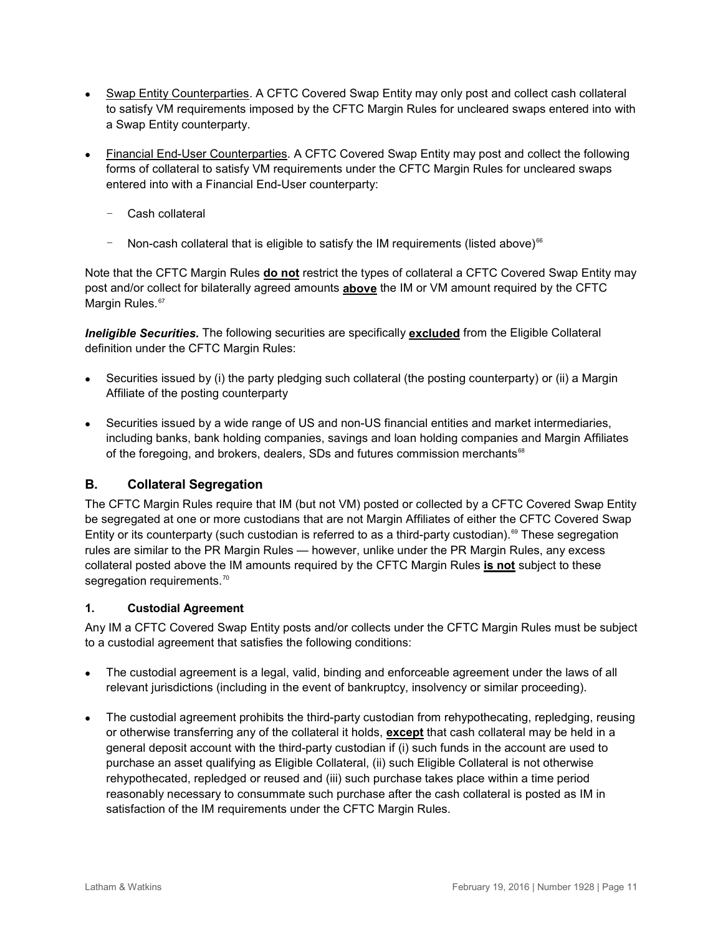- Swap Entity Counterparties. A CFTC Covered Swap Entity may only post and collect cash collateral to satisfy VM requirements imposed by the CFTC Margin Rules for uncleared swaps entered into with a Swap Entity counterparty.
- Financial End-User Counterparties. A CFTC Covered Swap Entity may post and collect the following forms of collateral to satisfy VM requirements under the CFTC Margin Rules for uncleared swaps entered into with a Financial End-User counterparty:
	- Cash collateral
	- Non-cash collateral that is eligible to satisfy the IM requirements (listed above)<sup>[66](#page-20-19)</sup>

Note that the CFTC Margin Rules **do not** restrict the types of collateral a CFTC Covered Swap Entity may post and/or collect for bilaterally agreed amounts **above** the IM or VM amount required by the CFTC Margin Rules.<sup>[67](#page-20-20)</sup>

*Ineligible Securities.* The following securities are specifically **excluded** from the Eligible Collateral definition under the CFTC Margin Rules:

- Securities issued by (i) the party pledging such collateral (the posting counterparty) or (ii) a Margin Affiliate of the posting counterparty
- Securities issued by a wide range of US and non-US financial entities and market intermediaries, including banks, bank holding companies, savings and loan holding companies and Margin Affiliates of the foregoing, and brokers, dealers, SDs and futures commission merchants<sup>[68](#page-20-21)</sup>

#### <span id="page-10-0"></span>**B. Collateral Segregation**

The CFTC Margin Rules require that IM (but not VM) posted or collected by a CFTC Covered Swap Entity be segregated at one or more custodians that are not Margin Affiliates of either the CFTC Covered Swap Entity or its counterparty (such custodian is referred to as a third-party custodian).<sup>[69](#page-20-22)</sup> These segregation rules are similar to the PR Margin Rules — however, unlike under the PR Margin Rules, any excess collateral posted above the IM amounts required by the CFTC Margin Rules **is not** subject to these segregation requirements.<sup>[70](#page-20-23)</sup>

#### <span id="page-10-1"></span>**1. Custodial Agreement**

Any IM a CFTC Covered Swap Entity posts and/or collects under the CFTC Margin Rules must be subject to a custodial agreement that satisfies the following conditions:

- The custodial agreement is a legal, valid, binding and enforceable agreement under the laws of all relevant jurisdictions (including in the event of bankruptcy, insolvency or similar proceeding).
- The custodial agreement prohibits the third-party custodian from rehypothecating, repledging, reusing or otherwise transferring any of the collateral it holds, **except** that cash collateral may be held in a general deposit account with the third-party custodian if (i) such funds in the account are used to purchase an asset qualifying as Eligible Collateral, (ii) such Eligible Collateral is not otherwise rehypothecated, repledged or reused and (iii) such purchase takes place within a time period reasonably necessary to consummate such purchase after the cash collateral is posted as IM in satisfaction of the IM requirements under the CFTC Margin Rules.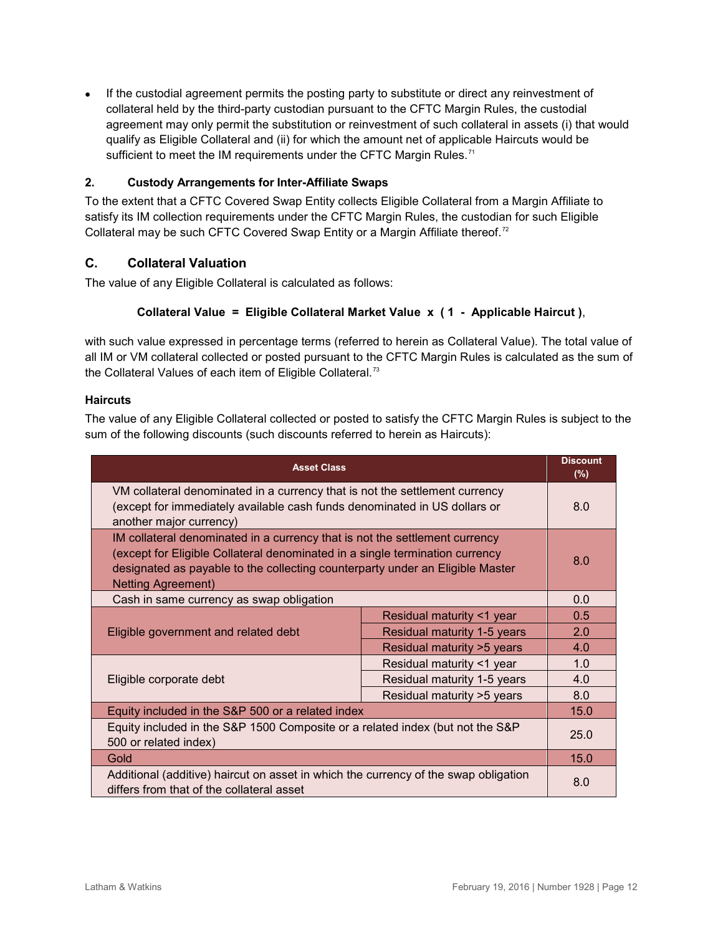• If the custodial agreement permits the posting party to substitute or direct any reinvestment of collateral held by the third-party custodian pursuant to the CFTC Margin Rules, the custodial agreement may only permit the substitution or reinvestment of such collateral in assets (i) that would qualify as Eligible Collateral and (ii) for which the amount net of applicable Haircuts would be sufficient to meet the IM requirements under the CFTC Margin Rules.<sup>[71](#page-20-24)</sup>

#### <span id="page-11-0"></span>**2. Custody Arrangements for Inter-Affiliate Swaps**

To the extent that a CFTC Covered Swap Entity collects Eligible Collateral from a Margin Affiliate to satisfy its IM collection requirements under the CFTC Margin Rules, the custodian for such Eligible Collateral may be such CFTC Covered Swap Entity or a Margin Affiliate thereof.<sup>[72](#page-20-25)</sup>

#### <span id="page-11-1"></span>**C. Collateral Valuation**

The value of any Eligible Collateral is calculated as follows:

#### **Collateral Value = Eligible Collateral Market Value x ( 1 - Applicable Haircut )**,

with such value expressed in percentage terms (referred to herein as Collateral Value). The total value of all IM or VM collateral collected or posted pursuant to the CFTC Margin Rules is calculated as the sum of the Collateral Values of each item of Eligible Collateral.<sup>[73](#page-20-26)</sup>

#### **Haircuts**

The value of any Eligible Collateral collected or posted to satisfy the CFTC Margin Rules is subject to the sum of the following discounts (such discounts referred to herein as Haircuts):

| <b>Asset Class</b>                                                                                                                                                                                                                                                        |                             |      |
|---------------------------------------------------------------------------------------------------------------------------------------------------------------------------------------------------------------------------------------------------------------------------|-----------------------------|------|
| VM collateral denominated in a currency that is not the settlement currency<br>(except for immediately available cash funds denominated in US dollars or<br>another major currency)                                                                                       |                             |      |
| IM collateral denominated in a currency that is not the settlement currency<br>(except for Eligible Collateral denominated in a single termination currency<br>designated as payable to the collecting counterparty under an Eligible Master<br><b>Netting Agreement)</b> |                             |      |
| Cash in same currency as swap obligation                                                                                                                                                                                                                                  |                             | 0.0  |
|                                                                                                                                                                                                                                                                           | Residual maturity <1 year   | 0.5  |
| Eligible government and related debt                                                                                                                                                                                                                                      | Residual maturity 1-5 years | 2.0  |
|                                                                                                                                                                                                                                                                           | Residual maturity > 5 years | 4.0  |
|                                                                                                                                                                                                                                                                           | Residual maturity <1 year   | 1.0  |
| Eligible corporate debt                                                                                                                                                                                                                                                   | Residual maturity 1-5 years | 4.0  |
|                                                                                                                                                                                                                                                                           | Residual maturity > 5 years | 8.0  |
| Equity included in the S&P 500 or a related index                                                                                                                                                                                                                         |                             | 15.0 |
| Equity included in the S&P 1500 Composite or a related index (but not the S&P<br>500 or related index)                                                                                                                                                                    |                             | 25.0 |
| Gold                                                                                                                                                                                                                                                                      |                             | 15.0 |
| Additional (additive) haircut on asset in which the currency of the swap obligation<br>differs from that of the collateral asset                                                                                                                                          |                             | 8.0  |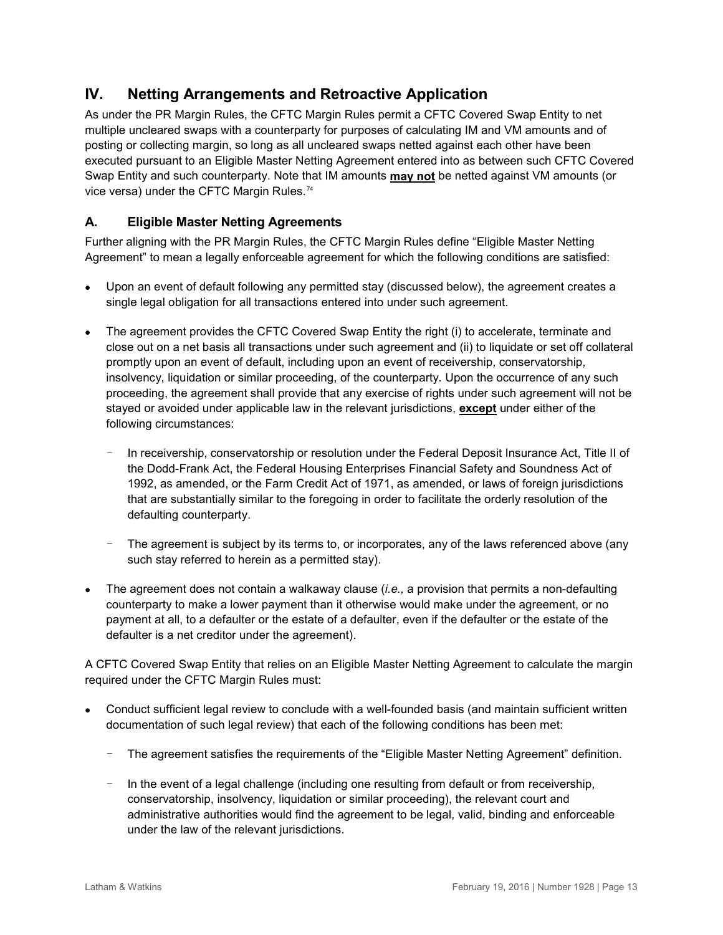# <span id="page-12-0"></span>**IV. Netting Arrangements and Retroactive Application**

As under the PR Margin Rules, the CFTC Margin Rules permit a CFTC Covered Swap Entity to net multiple uncleared swaps with a counterparty for purposes of calculating IM and VM amounts and of posting or collecting margin, so long as all uncleared swaps netted against each other have been executed pursuant to an Eligible Master Netting Agreement entered into as between such CFTC Covered Swap Entity and such counterparty. Note that IM amounts **may not** be netted against VM amounts (or vice versa) under the CFTC Margin Rules.<sup>[74](#page-20-27)</sup>

# <span id="page-12-1"></span>**A. Eligible Master Netting Agreements**

Further aligning with the PR Margin Rules, the CFTC Margin Rules define "Eligible Master Netting Agreement" to mean a legally enforceable agreement for which the following conditions are satisfied:

- Upon an event of default following any permitted stay (discussed below), the agreement creates a single legal obligation for all transactions entered into under such agreement.
- The agreement provides the CFTC Covered Swap Entity the right (i) to accelerate, terminate and close out on a net basis all transactions under such agreement and (ii) to liquidate or set off collateral promptly upon an event of default, including upon an event of receivership, conservatorship, insolvency, liquidation or similar proceeding, of the counterparty. Upon the occurrence of any such proceeding, the agreement shall provide that any exercise of rights under such agreement will not be stayed or avoided under applicable law in the relevant jurisdictions, **except** under either of the following circumstances:
	- In receivership, conservatorship or resolution under the Federal Deposit Insurance Act, Title II of the Dodd-Frank Act, the Federal Housing Enterprises Financial Safety and Soundness Act of 1992, as amended, or the Farm Credit Act of 1971, as amended, or laws of foreign jurisdictions that are substantially similar to the foregoing in order to facilitate the orderly resolution of the defaulting counterparty.
	- The agreement is subject by its terms to, or incorporates, any of the laws referenced above (any such stay referred to herein as a permitted stay).
- The agreement does not contain a walkaway clause (*i.e.,* a provision that permits a non-defaulting counterparty to make a lower payment than it otherwise would make under the agreement, or no payment at all, to a defaulter or the estate of a defaulter, even if the defaulter or the estate of the defaulter is a net creditor under the agreement).

A CFTC Covered Swap Entity that relies on an Eligible Master Netting Agreement to calculate the margin required under the CFTC Margin Rules must:

- Conduct sufficient legal review to conclude with a well-founded basis (and maintain sufficient written documentation of such legal review) that each of the following conditions has been met:
	- The agreement satisfies the requirements of the "Eligible Master Netting Agreement" definition.
	- In the event of a legal challenge (including one resulting from default or from receivership, conservatorship, insolvency, liquidation or similar proceeding), the relevant court and administrative authorities would find the agreement to be legal, valid, binding and enforceable under the law of the relevant jurisdictions.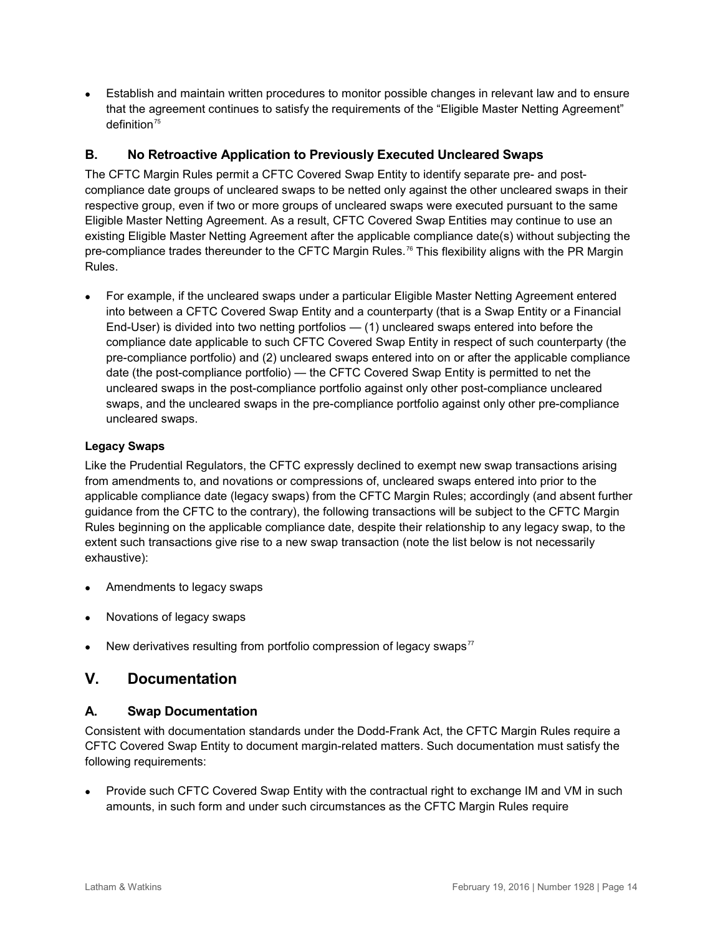• Establish and maintain written procedures to monitor possible changes in relevant law and to ensure that the agreement continues to satisfy the requirements of the "Eligible Master Netting Agreement" definition $75$ 

### <span id="page-13-0"></span>**B. No Retroactive Application to Previously Executed Uncleared Swaps**

The CFTC Margin Rules permit a CFTC Covered Swap Entity to identify separate pre- and postcompliance date groups of uncleared swaps to be netted only against the other uncleared swaps in their respective group, even if two or more groups of uncleared swaps were executed pursuant to the same Eligible Master Netting Agreement. As a result, CFTC Covered Swap Entities may continue to use an existing Eligible Master Netting Agreement after the applicable compliance date(s) without subjecting the pre-compliance trades thereunder to the CFTC Margin Rules.<sup>[76](#page-20-29)</sup> This flexibility aligns with the PR Margin Rules.

• For example, if the uncleared swaps under a particular Eligible Master Netting Agreement entered into between a CFTC Covered Swap Entity and a counterparty (that is a Swap Entity or a Financial End-User) is divided into two netting portfolios — (1) uncleared swaps entered into before the compliance date applicable to such CFTC Covered Swap Entity in respect of such counterparty (the pre-compliance portfolio) and (2) uncleared swaps entered into on or after the applicable compliance date (the post-compliance portfolio) — the CFTC Covered Swap Entity is permitted to net the uncleared swaps in the post-compliance portfolio against only other post-compliance uncleared swaps, and the uncleared swaps in the pre-compliance portfolio against only other pre-compliance uncleared swaps.

#### **Legacy Swaps**

Like the Prudential Regulators, the CFTC expressly declined to exempt new swap transactions arising from amendments to, and novations or compressions of, uncleared swaps entered into prior to the applicable compliance date (legacy swaps) from the CFTC Margin Rules; accordingly (and absent further guidance from the CFTC to the contrary), the following transactions will be subject to the CFTC Margin Rules beginning on the applicable compliance date, despite their relationship to any legacy swap, to the extent such transactions give rise to a new swap transaction (note the list below is not necessarily exhaustive):

- Amendments to legacy swaps
- Novations of legacy swaps
- New derivatives resulting from portfolio compression of legacy swaps $77$

# <span id="page-13-1"></span>**V. Documentation**

#### <span id="page-13-2"></span>**A. Swap Documentation**

Consistent with documentation standards under the Dodd-Frank Act, the CFTC Margin Rules require a CFTC Covered Swap Entity to document margin-related matters. Such documentation must satisfy the following requirements:

• Provide such CFTC Covered Swap Entity with the contractual right to exchange IM and VM in such amounts, in such form and under such circumstances as the CFTC Margin Rules require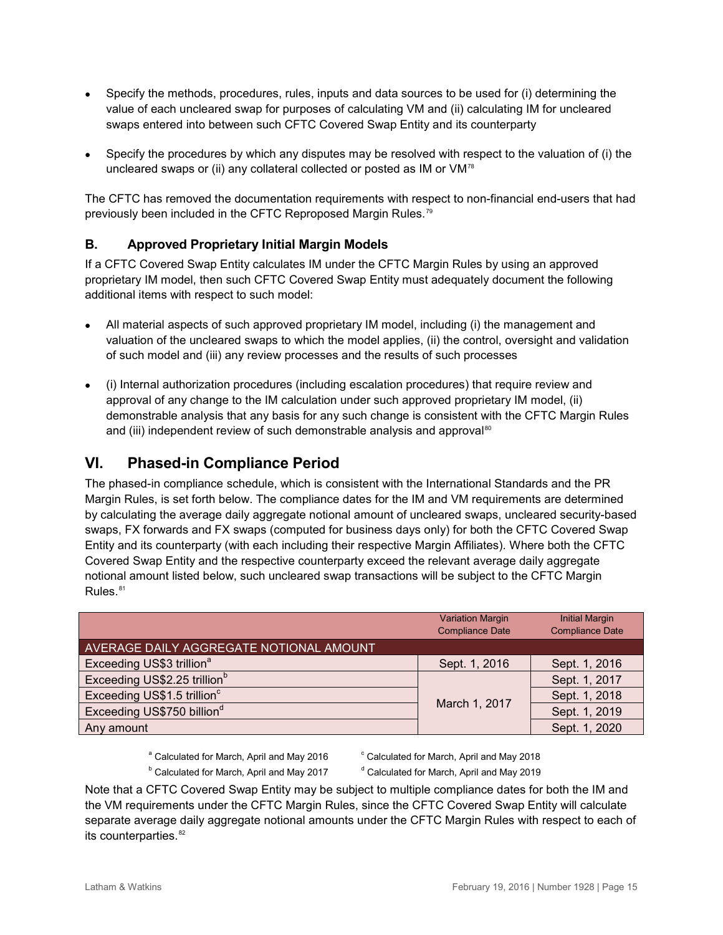- Specify the methods, procedures, rules, inputs and data sources to be used for (i) determining the value of each uncleared swap for purposes of calculating VM and (ii) calculating IM for uncleared swaps entered into between such CFTC Covered Swap Entity and its counterparty
- Specify the procedures by which any disputes may be resolved with respect to the valuation of (i) the uncleared swaps or (ii) any collateral collected or posted as IM or VM<sup>[78](#page-21-0)</sup>

The CFTC has removed the documentation requirements with respect to non-financial end-users that had previously been included in the CFTC Reproposed Margin Rules.<sup>[79](#page-21-1)</sup>

## <span id="page-14-0"></span>**B. Approved Proprietary Initial Margin Models**

If a CFTC Covered Swap Entity calculates IM under the CFTC Margin Rules by using an approved proprietary IM model, then such CFTC Covered Swap Entity must adequately document the following additional items with respect to such model:

- All material aspects of such approved proprietary IM model, including (i) the management and valuation of the uncleared swaps to which the model applies, (ii) the control, oversight and validation of such model and (iii) any review processes and the results of such processes
- (i) Internal authorization procedures (including escalation procedures) that require review and approval of any change to the IM calculation under such approved proprietary IM model, (ii) demonstrable analysis that any basis for any such change is consistent with the CFTC Margin Rules and (iii) independent review of such demonstrable analysis and approval<sup>[80](#page-21-2)</sup>

# <span id="page-14-1"></span>**VI. Phased-in Compliance Period**

The phased-in compliance schedule, which is consistent with the International Standards and the PR Margin Rules, is set forth below. The compliance dates for the IM and VM requirements are determined by calculating the average daily aggregate notional amount of uncleared swaps, uncleared security-based swaps, FX forwards and FX swaps (computed for business days only) for both the CFTC Covered Swap Entity and its counterparty (with each including their respective Margin Affiliates). Where both the CFTC Covered Swap Entity and the respective counterparty exceed the relevant average daily aggregate notional amount listed below, such uncleared swap transactions will be subject to the CFTC Margin  $Rules.<sup>81</sup>$  $Rules.<sup>81</sup>$  $Rules.<sup>81</sup>$ 

|                                          | <b>Variation Margin</b><br><b>Compliance Date</b> | <b>Initial Margin</b><br><b>Compliance Date</b> |
|------------------------------------------|---------------------------------------------------|-------------------------------------------------|
| AVERAGE DAILY AGGREGATE NOTIONAL AMOUNT  |                                                   |                                                 |
| Exceeding US\$3 trillion <sup>a</sup>    | Sept. 1, 2016                                     | Sept. 1, 2016                                   |
| Exceeding US\$2.25 trillion <sup>b</sup> | March 1, 2017                                     | Sept. 1, 2017                                   |
| Exceeding US\$1.5 trillion <sup>c</sup>  |                                                   | Sept. 1, 2018                                   |
| Exceeding US\$750 billion <sup>d</sup>   |                                                   | Sept. 1, 2019                                   |
| Any amount                               |                                                   | Sept. 1, 2020                                   |

- $a^2$  Calculated for March, April and May 2016  $a^2$  Calculated for March, April and May 2018
- $b$  Calculated for March, April and May 2017  $a$ <sup>d</sup> Calculated for March, April and May 2019

Note that a CFTC Covered Swap Entity may be subject to multiple compliance dates for both the IM and the VM requirements under the CFTC Margin Rules, since the CFTC Covered Swap Entity will calculate separate average daily aggregate notional amounts under the CFTC Margin Rules with respect to each of its counterparties. $82$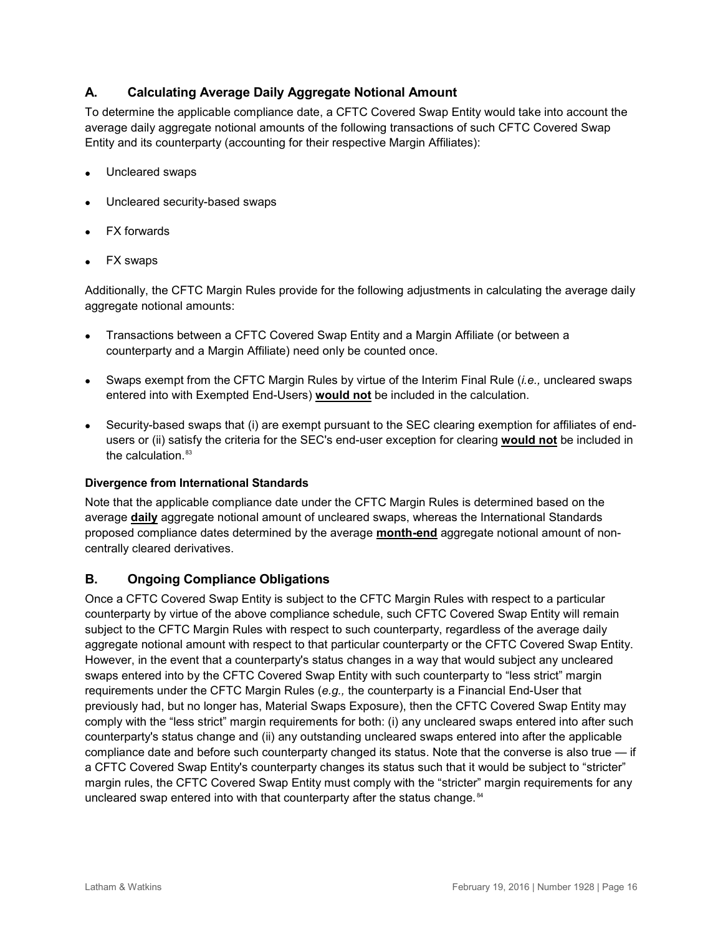# <span id="page-15-0"></span>**A. Calculating Average Daily Aggregate Notional Amount**

To determine the applicable compliance date, a CFTC Covered Swap Entity would take into account the average daily aggregate notional amounts of the following transactions of such CFTC Covered Swap Entity and its counterparty (accounting for their respective Margin Affiliates):

- Uncleared swaps
- Uncleared security-based swaps
- **FX** forwards
- FX swaps

Additionally, the CFTC Margin Rules provide for the following adjustments in calculating the average daily aggregate notional amounts:

- Transactions between a CFTC Covered Swap Entity and a Margin Affiliate (or between a counterparty and a Margin Affiliate) need only be counted once.
- Swaps exempt from the CFTC Margin Rules by virtue of the Interim Final Rule (*i.e.,* uncleared swaps entered into with Exempted End-Users) **would not** be included in the calculation.
- Security-based swaps that (i) are exempt pursuant to the SEC clearing exemption for affiliates of endusers or (ii) satisfy the criteria for the SEC's end-user exception for clearing **would not** be included in the calculation. $83$

#### **Divergence from International Standards**

Note that the applicable compliance date under the CFTC Margin Rules is determined based on the average **daily** aggregate notional amount of uncleared swaps, whereas the International Standards proposed compliance dates determined by the average **month-end** aggregate notional amount of noncentrally cleared derivatives.

#### <span id="page-15-1"></span>**B. Ongoing Compliance Obligations**

Once a CFTC Covered Swap Entity is subject to the CFTC Margin Rules with respect to a particular counterparty by virtue of the above compliance schedule, such CFTC Covered Swap Entity will remain subject to the CFTC Margin Rules with respect to such counterparty, regardless of the average daily aggregate notional amount with respect to that particular counterparty or the CFTC Covered Swap Entity. However, in the event that a counterparty's status changes in a way that would subject any uncleared swaps entered into by the CFTC Covered Swap Entity with such counterparty to "less strict" margin requirements under the CFTC Margin Rules (*e.g.,* the counterparty is a Financial End-User that previously had, but no longer has, Material Swaps Exposure), then the CFTC Covered Swap Entity may comply with the "less strict" margin requirements for both: (i) any uncleared swaps entered into after such counterparty's status change and (ii) any outstanding uncleared swaps entered into after the applicable compliance date and before such counterparty changed its status. Note that the converse is also true — if a CFTC Covered Swap Entity's counterparty changes its status such that it would be subject to "stricter" margin rules, the CFTC Covered Swap Entity must comply with the "stricter" margin requirements for any uncleared swap entered into with that counterparty after the status change. <sup>[84](#page-21-6)</sup>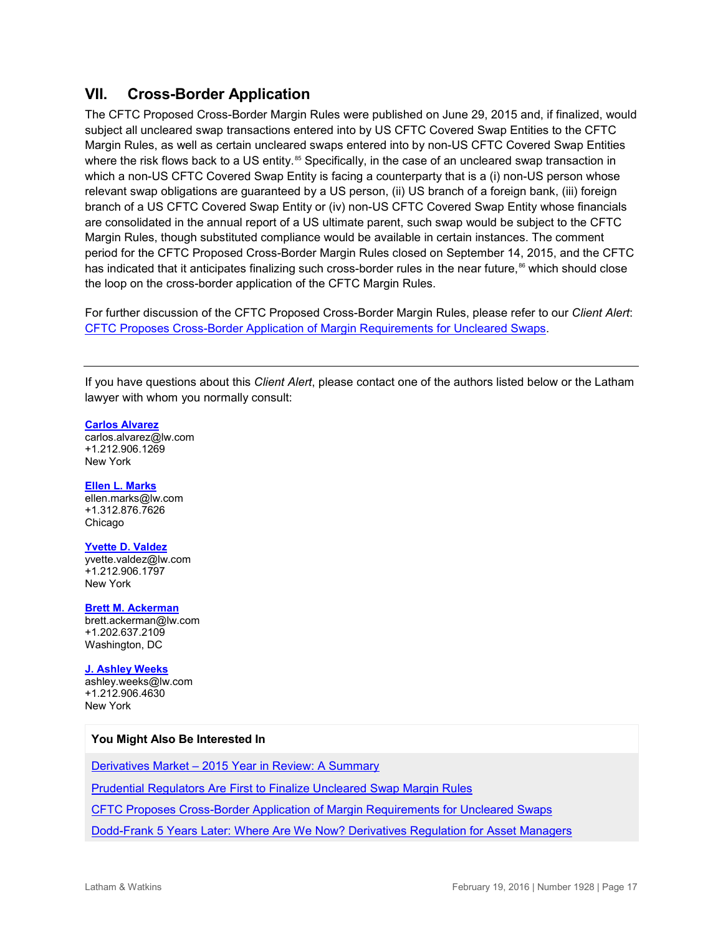# <span id="page-16-0"></span>**VII. Cross-Border Application**

The CFTC Proposed Cross-Border Margin Rules were published on June 29, 2015 and, if finalized, would subject all uncleared swap transactions entered into by US CFTC Covered Swap Entities to the CFTC Margin Rules, as well as certain uncleared swaps entered into by non-US CFTC Covered Swap Entities where the risk flows back to a US entity.<sup>[85](#page-21-7)</sup> Specifically, in the case of an uncleared swap transaction in which a non-US CFTC Covered Swap Entity is facing a counterparty that is a (i) non-US person whose relevant swap obligations are guaranteed by a US person, (ii) US branch of a foreign bank, (iii) foreign branch of a US CFTC Covered Swap Entity or (iv) non-US CFTC Covered Swap Entity whose financials are consolidated in the annual report of a US ultimate parent, such swap would be subject to the CFTC Margin Rules, though substituted compliance would be available in certain instances. The comment period for the CFTC Proposed Cross-Border Margin Rules closed on September 14, 2015, and the CFTC has indicated that it anticipates finalizing such cross-border rules in the near future,<sup>[86](#page-21-8)</sup> which should close the loop on the cross-border application of the CFTC Margin Rules.

For further discussion of the CFTC Proposed Cross-Border Margin Rules, please refer to our *Client Alert*: [CFTC Proposes Cross-Border Application of Margin Requirements for Uncleared Swaps.](https://www.lw.com/thoughtLeadership/lw-CFTC-Cross-Border-Application-Uncleared-Swaps)

If you have questions about this *Client Alert*, please contact one of the authors listed below or the Latham lawyer with whom you normally consult:

#### **[Carlos Alvarez](https://www.lw.com/people/carlos-alvarez)**

[carlos.alvarez@lw.com](mailto:carlos.alvarez@lw.com) +1.212.906.1269 New York

#### **[Ellen L. Marks](https://www.lw.com/people/EllenLMarks)** [ellen.marks@lw.com](mailto:ellen.marks@lw.com) +1.312.876.7626 Chicago

#### **[Yvette D. Valdez](https://www.lw.com/people/yvette-valdez)**

[yvette.valdez@lw.com](mailto:yvette.valdez@lw.com) +1.212.906.1797 New York

#### **[Brett M. Ackerman](https://www.lw.com/people/brett-ackerman)**

[brett.ackerman@lw.com](mailto:brett.ackerman@lw.com) +1.202.637.2109 Washington, DC

#### **[J. Ashley Weeks](https://www.lw.com/people/j-ashley-weeks)**

[ashley.weeks@lw.com](mailto:ashley.weeks@lw.com) +1.212.906.4630 New York

#### **You Might Also Be Interested In**

Derivatives Market – [2015 Year in Review: A Summary](https://www.lw.com/presentations/derivatives-market-2015-year-in-review-summary)

[Prudential Regulators Are First to Finalize Uncleared Swap Margin Rules](https://www.lw.com/thoughtLeadership/LW-prudential-regulators-finalize-uncleared-swap-margin-rules) 

[CFTC Proposes Cross-Border Application of Margin Requirements for Uncleared Swaps](https://www.lw.com/thoughtLeadership/lw-CFTC-Cross-Border-Application-Uncleared-Swaps) 

[Dodd-Frank 5 Years Later: Where Are We Now? Derivatives Regulation for Asset Managers](https://www.lw.com/thoughtLeadership/LW-dodd-frank-5-years-later-derivative-regulation)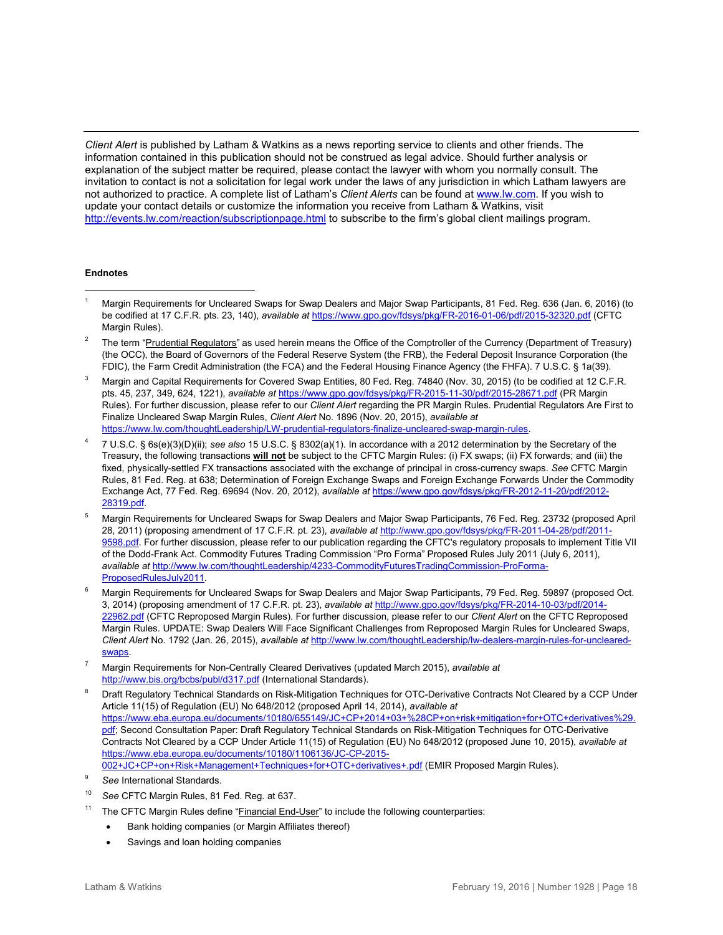*Client Alert* is published by Latham & Watkins as a news reporting service to clients and other friends. The information contained in this publication should not be construed as legal advice. Should further analysis or explanation of the subject matter be required, please contact the lawyer with whom you normally consult. The invitation to contact is not a solicitation for legal work under the laws of any jurisdiction in which Latham lawyers are not authorized to practice. A complete list of Latham's *Client Alerts* can be found a[t www.lw.com.](http://www.lw.com/) If you wish to update your contact details or customize the information you receive from Latham & Watkins, visit <http://events.lw.com/reaction/subscriptionpage.html> to subscribe to the firm's global client mailings program.

#### **Endnotes**

- <span id="page-17-0"></span> $\overline{a}$ <sup>1</sup> Margin Requirements for Uncleared Swaps for Swap Dealers and Major Swap Participants, 81 Fed. Reg. 636 (Jan. 6, 2016) (to be codified at 17 C.F.R. pts. 23, 140), *available at* <https://www.gpo.gov/fdsys/pkg/FR-2016-01-06/pdf/2015-32320.pdf> (CFTC Margin Rules).
- <span id="page-17-1"></span><sup>2</sup> The term "Prudential Regulators" as used herein means the Office of the Comptroller of the Currency (Department of Treasury) (the OCC), the Board of Governors of the Federal Reserve System (the FRB), the Federal Deposit Insurance Corporation (the FDIC), the Farm Credit Administration (the FCA) and the Federal Housing Finance Agency (the FHFA). 7 U.S.C. § 1a(39).
- <span id="page-17-2"></span><sup>3</sup> Margin and Capital Requirements for Covered Swap Entities, 80 Fed. Reg. 74840 (Nov. 30, 2015) (to be codified at 12 C.F.R. pts. 45, 237, 349, 624, 1221), *available at* <https://www.gpo.gov/fdsys/pkg/FR-2015-11-30/pdf/2015-28671.pdf> (PR Margin Rules). For further discussion, please refer to our *Client Alert* regarding the PR Margin Rules. Prudential Regulators Are First to Finalize Uncleared Swap Margin Rules, *Client Alert* No. 1896 (Nov. 20, 2015), *available at* [https://www.lw.com/thoughtLeadership/LW-prudential-regulators-finalize-uncleared-swap-margin-rules.](https://www.lw.com/thoughtLeadership/LW-prudential-regulators-finalize-uncleared-swap-margin-rules)
- <span id="page-17-3"></span><sup>4</sup> 7 U.S.C. § 6s(e)(3)(D)(ii); *see also* 15 U.S.C. § 8302(a)(1). In accordance with a 2012 determination by the Secretary of the Treasury, the following transactions **will not** be subject to the CFTC Margin Rules: (i) FX swaps; (ii) FX forwards; and (iii) the fixed, physically-settled FX transactions associated with the exchange of principal in cross-currency swaps. *See* CFTC Margin Rules, 81 Fed. Reg. at 638; Determination of Foreign Exchange Swaps and Foreign Exchange Forwards Under the Commodity Exchange Act, 77 Fed. Reg. 69694 (Nov. 20, 2012), *available at* [https://www.gpo.gov/fdsys/pkg/FR-2012-11-20/pdf/2012-](https://www.gpo.gov/fdsys/pkg/FR-2012-11-20/pdf/2012-28319.pdf) [28319.pdf.](https://www.gpo.gov/fdsys/pkg/FR-2012-11-20/pdf/2012-28319.pdf)
- <span id="page-17-4"></span><sup>5</sup> Margin Requirements for Uncleared Swaps for Swap Dealers and Major Swap Participants, 76 Fed. Reg. 23732 (proposed April 28, 2011) (proposing amendment of 17 C.F.R. pt. 23), *available at* [http://www.gpo.gov/fdsys/pkg/FR-2011-04-28/pdf/2011-](http://www.gpo.gov/fdsys/pkg/FR-2011-04-28/pdf/2011-9598.pdf) [9598.pdf.](http://www.gpo.gov/fdsys/pkg/FR-2011-04-28/pdf/2011-9598.pdf) For further discussion, please refer to our publication regarding the CFTC's regulatory proposals to implement Title VII of the Dodd-Frank Act. Commodity Futures Trading Commission "Pro Forma" Proposed Rules July 2011 (July 6, 2011), *available at* [http://www.lw.com/thoughtLeadership/4233-CommodityFuturesTradingCommission-ProForma-](http://www.lw.com/thoughtLeadership/4233-CommodityFuturesTradingCommission-ProForma-ProposedRulesJuly2011)[ProposedRulesJuly2011.](http://www.lw.com/thoughtLeadership/4233-CommodityFuturesTradingCommission-ProForma-ProposedRulesJuly2011)
- <span id="page-17-5"></span><sup>6</sup> Margin Requirements for Uncleared Swaps for Swap Dealers and Major Swap Participants, 79 Fed. Reg. 59897 (proposed Oct. 3, 2014) (proposing amendment of 17 C.F.R. pt. 23), *available at* [http://www.gpo.gov/fdsys/pkg/FR-2014-10-03/pdf/2014-](http://www.gpo.gov/fdsys/pkg/FR-2014-10-03/pdf/2014-22962.pdf) [22962.pdf](http://www.gpo.gov/fdsys/pkg/FR-2014-10-03/pdf/2014-22962.pdf) (CFTC Reproposed Margin Rules). For further discussion, please refer to our *Client Alert* on the CFTC Reproposed Margin Rules. UPDATE: Swap Dealers Will Face Significant Challenges from Reproposed Margin Rules for Uncleared Swaps, *Client Alert* No. 1792 (Jan. 26, 2015), *available at* [http://www.lw.com/thoughtLeadership/lw-dealers-margin-rules-for-uncleared](http://www.lw.com/thoughtLeadership/lw-dealers-margin-rules-for-uncleared-swaps)[swaps.](http://www.lw.com/thoughtLeadership/lw-dealers-margin-rules-for-uncleared-swaps)
- <span id="page-17-6"></span><sup>7</sup> Margin Requirements for Non-Centrally Cleared Derivatives (updated March 2015), *available at*  <http://www.bis.org/bcbs/publ/d317.pdf> (International Standards).
- <span id="page-17-7"></span><sup>8</sup> Draft Regulatory Technical Standards on Risk-Mitigation Techniques for OTC-Derivative Contracts Not Cleared by a CCP Under Article 11(15) of Regulation (EU) No 648/2012 (proposed April 14, 2014), *available at* [https://www.eba.europa.eu/documents/10180/655149/JC+CP+2014+03+%28CP+on+risk+mitigation+for+OTC+derivatives%29.](https://www.eba.europa.eu/documents/10180/655149/JC+CP+2014+03+%28CP+on+risk+mitigation+for+OTC+derivatives%29.pdf) [pdf;](https://www.eba.europa.eu/documents/10180/655149/JC+CP+2014+03+%28CP+on+risk+mitigation+for+OTC+derivatives%29.pdf) Second Consultation Paper: Draft Regulatory Technical Standards on Risk-Mitigation Techniques for OTC-Derivative Contracts Not Cleared by a CCP Under Article 11(15) of Regulation (EU) No 648/2012 (proposed June 10, 2015), *available at* [https://www.eba.europa.eu/documents/10180/1106136/JC-CP-2015-](https://www.eba.europa.eu/documents/10180/1106136/JC-CP-2015-002+JC+CP+on+Risk+Management+Techniques+for+OTC+derivatives+.pdf) [002+JC+CP+on+Risk+Management+Techniques+for+OTC+derivatives+.pdf](https://www.eba.europa.eu/documents/10180/1106136/JC-CP-2015-002+JC+CP+on+Risk+Management+Techniques+for+OTC+derivatives+.pdf) (EMIR Proposed Margin Rules).
- <span id="page-17-8"></span><sup>9</sup> *See* International Standards.
- <span id="page-17-9"></span><sup>10</sup> *See* CFTC Margin Rules, 81 Fed. Reg. at 637.
- <span id="page-17-10"></span><sup>11</sup> The CFTC Margin Rules define "Financial End-User" to include the following counterparties:
	- Bank holding companies (or Margin Affiliates thereof)
	- Savings and loan holding companies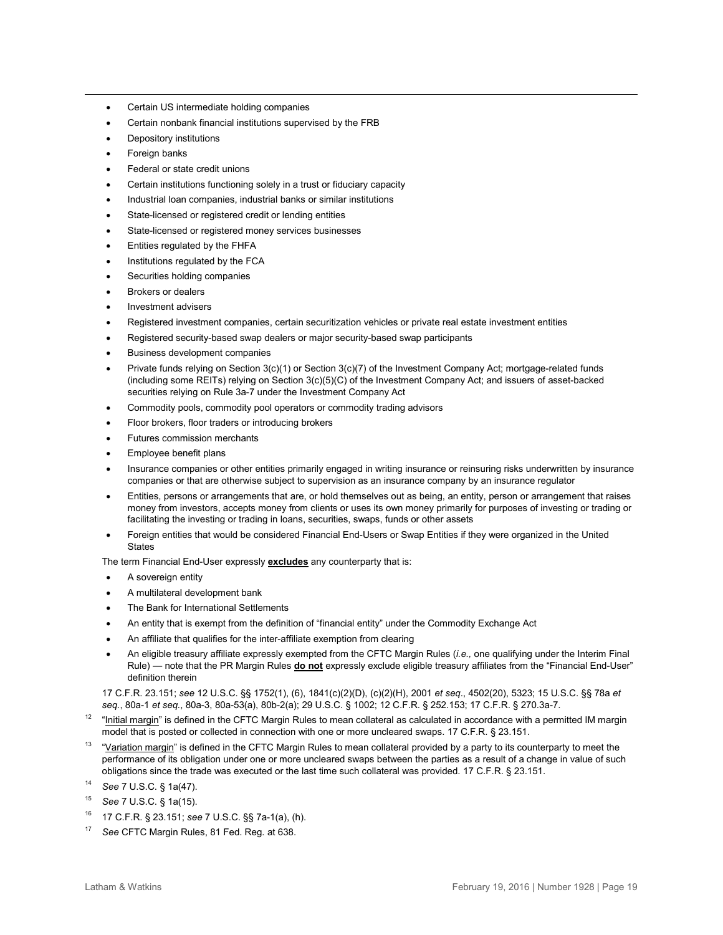- Certain US intermediate holding companies
- Certain nonbank financial institutions supervised by the FRB
- Depository institutions
- Foreign banks

 $\overline{a}$ 

- Federal or state credit unions
- Certain institutions functioning solely in a trust or fiduciary capacity
- Industrial loan companies, industrial banks or similar institutions
- State-licensed or registered credit or lending entities
- State-licensed or registered money services businesses
- Entities regulated by the FHFA
- Institutions regulated by the FCA
- Securities holding companies
- Brokers or dealers
- Investment advisers
- Registered investment companies, certain securitization vehicles or private real estate investment entities
- Registered security-based swap dealers or major security-based swap participants
- Business development companies
- Private funds relying on Section 3(c)(1) or Section 3(c)(7) of the Investment Company Act; mortgage-related funds (including some REITs) relying on Section 3(c)(5)(C) of the Investment Company Act; and issuers of asset-backed securities relying on Rule 3a-7 under the Investment Company Act
- Commodity pools, commodity pool operators or commodity trading advisors
- Floor brokers, floor traders or introducing brokers
- Futures commission merchants
- Employee benefit plans
- Insurance companies or other entities primarily engaged in writing insurance or reinsuring risks underwritten by insurance companies or that are otherwise subject to supervision as an insurance company by an insurance regulator
- Entities, persons or arrangements that are, or hold themselves out as being, an entity, person or arrangement that raises money from investors, accepts money from clients or uses its own money primarily for purposes of investing or trading or facilitating the investing or trading in loans, securities, swaps, funds or other assets
- Foreign entities that would be considered Financial End-Users or Swap Entities if they were organized in the United **States**

The term Financial End-User expressly **excludes** any counterparty that is:

- A sovereign entity
- A multilateral development bank
- The Bank for International Settlements
- An entity that is exempt from the definition of "financial entity" under the Commodity Exchange Act
- An affiliate that qualifies for the inter-affiliate exemption from clearing
- An eligible treasury affiliate expressly exempted from the CFTC Margin Rules (*i.e.,* one qualifying under the Interim Final Rule) — note that the PR Margin Rules **do not** expressly exclude eligible treasury affiliates from the "Financial End-User" definition therein

17 C.F.R. 23.151; *see* 12 U.S.C. §§ 1752(1), (6), 1841(c)(2)(D), (c)(2)(H), 2001 *et seq*., 4502(20), 5323; 15 U.S.C. §§ 78a *et seq.*, 80a-1 *et seq.*, 80a-3, 80a-53(a), 80b-2(a); 29 U.S.C. § 1002; 12 C.F.R. § 252.153; 17 C.F.R. § 270.3a-7.

- <span id="page-18-0"></span> $12$  "Initial margin" is defined in the CFTC Margin Rules to mean collateral as calculated in accordance with a permitted IM margin model that is posted or collected in connection with one or more uncleared swaps. 17 C.F.R. § 23.151.
- <span id="page-18-1"></span><sup>13</sup> "Variation margin" is defined in the CFTC Margin Rules to mean collateral provided by a party to its counterparty to meet the performance of its obligation under one or more uncleared swaps between the parties as a result of a change in value of such obligations since the trade was executed or the last time such collateral was provided. 17 C.F.R. § 23.151.
- <span id="page-18-2"></span><sup>14</sup> *See* 7 U.S.C. § 1a(47).
- <span id="page-18-3"></span><sup>15</sup> *See* 7 U.S.C. § 1a(15).
- <span id="page-18-4"></span><sup>16</sup> 17 C.F.R. § 23.151; *see* 7 U.S.C. §§ 7a-1(a), (h).
- <span id="page-18-5"></span><sup>17</sup> *See* CFTC Margin Rules, 81 Fed. Reg. at 638.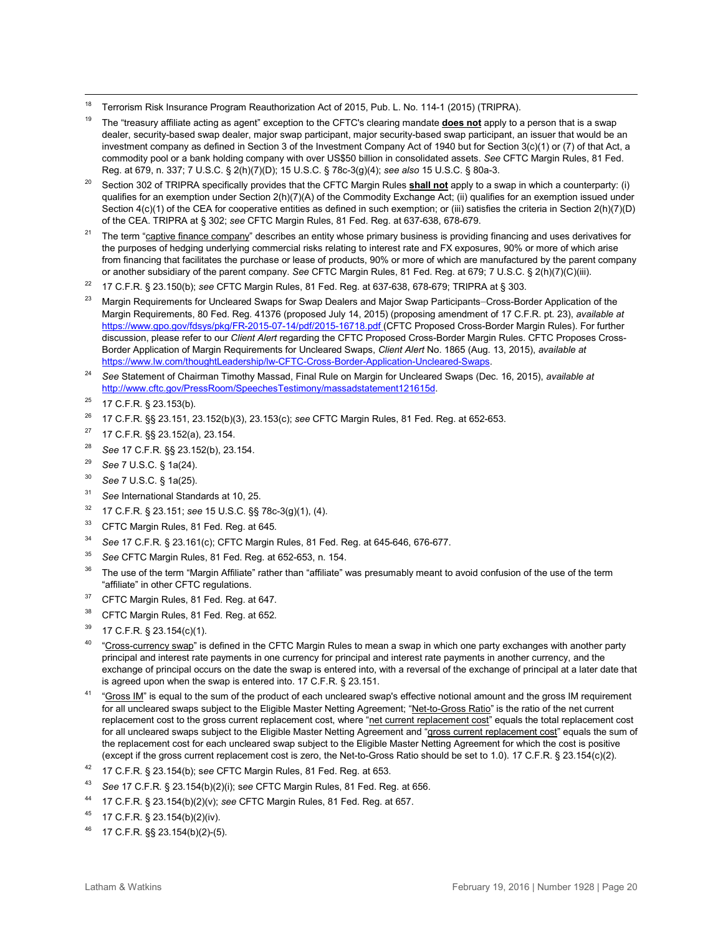- <span id="page-19-0"></span> $18$ <sup>18</sup> Terrorism Risk Insurance Program Reauthorization Act of 2015, Pub. L. No. 114-1 (2015) (TRIPRA).
- <span id="page-19-1"></span><sup>19</sup> The "treasury affiliate acting as agent" exception to the CFTC's clearing mandate **does not** apply to a person that is a swap dealer, security-based swap dealer, major swap participant, major security-based swap participant, an issuer that would be an investment company as defined in Section 3 of the Investment Company Act of 1940 but for Section 3(c)(1) or (7) of that Act, a commodity pool or a bank holding company with over US\$50 billion in consolidated assets. *See* CFTC Margin Rules, 81 Fed. Reg. at 679, n. 337; 7 U.S.C. § 2(h)(7)(D); 15 U.S.C. § 78c-3(g)(4); *see also* 15 U.S.C. § 80a-3.
- <span id="page-19-2"></span><sup>20</sup> Section 302 of TRIPRA specifically provides that the CFTC Margin Rules **shall not** apply to a swap in which a counterparty: (i) qualifies for an exemption under Section 2(h)(7)(A) of the Commodity Exchange Act; (ii) qualifies for an exemption issued under Section 4(c)(1) of the CEA for cooperative entities as defined in such exemption; or (iii) satisfies the criteria in Section 2(h)(7)(D) of the CEA. TRIPRA at § 302; *see* CFTC Margin Rules, 81 Fed. Reg. at 637-638, 678-679.
- <span id="page-19-3"></span><sup>21</sup> The term "captive finance company" describes an entity whose primary business is providing financing and uses derivatives for the purposes of hedging underlying commercial risks relating to interest rate and FX exposures, 90% or more of which arise from financing that facilitates the purchase or lease of products, 90% or more of which are manufactured by the parent company or another subsidiary of the parent company. *See* CFTC Margin Rules, 81 Fed. Reg. at 679; 7 U.S.C. § 2(h)(7)(C)(iii).
- <span id="page-19-4"></span><sup>22</sup> 17 C.F.R. § 23.150(b); *see* CFTC Margin Rules, 81 Fed. Reg. at 637-638, 678-679; TRIPRA at § 303.
- <span id="page-19-5"></span><sup>23</sup> Margin Requirements for Uncleared Swaps for Swap Dealers and Major Swap Participants–Cross-Border Application of the Margin Requirements, 80 Fed. Reg. 41376 (proposed July 14, 2015) (proposing amendment of 17 C.F.R. pt. 23), *available at*  [https://www.gpo.gov/fdsys/pkg/FR-2015-07-14/pdf/2015-16718.pdf \(](https://www.gpo.gov/fdsys/pkg/FR-2015-07-14/pdf/2015-16718.pdf)CFTC Proposed Cross-Border Margin Rules). For further discussion, please refer to our *Client Alert* regarding the CFTC Proposed Cross-Border Margin Rules. CFTC Proposes Cross-Border Application of Margin Requirements for Uncleared Swaps, *Client Alert* No. 1865 (Aug. 13, 2015), *available at* [https://www.lw.com/thoughtLeadership/lw-CFTC-Cross-Border-Application-Uncleared-Swaps.](https://www.lw.com/thoughtLeadership/lw-CFTC-Cross-Border-Application-Uncleared-Swaps)
- <span id="page-19-6"></span><sup>24</sup> *See* Statement of Chairman Timothy Massad, Final Rule on Margin for Uncleared Swaps (Dec. 16, 2015), *available at*  [http://www.cftc.gov/PressRoom/SpeechesTestimony/massadstatement121615d.](http://www.cftc.gov/PressRoom/SpeechesTestimony/massadstatement121615d)
- <span id="page-19-7"></span> $25$  17 C.F.R. § 23.153(b).
- <span id="page-19-8"></span><sup>26</sup> 17 C.F.R. §§ 23.151, 23.152(b)(3), 23.153(c); *see* CFTC Margin Rules, 81 Fed. Reg. at 652-653.
- <span id="page-19-9"></span><sup>27</sup> 17 C.F.R. §§ 23.152(a), 23.154.
- <span id="page-19-10"></span><sup>28</sup> *See* 17 C.F.R. §§ 23.152(b), 23.154.
- <span id="page-19-11"></span><sup>29</sup> *See* 7 U.S.C. § 1a(24).
- <span id="page-19-12"></span><sup>30</sup> *See* 7 U.S.C. § 1a(25).
- <span id="page-19-13"></span><sup>31</sup> *See* International Standards at 10, 25.
- <span id="page-19-14"></span><sup>32</sup> 17 C.F.R. § 23.151; *see* 15 U.S.C. §§ 78c-3(g)(1), (4).
- <span id="page-19-15"></span><sup>33</sup> CFTC Margin Rules, 81 Fed. Reg. at 645.
- <span id="page-19-16"></span><sup>34</sup> *See* 17 C.F.R. § 23.161(c); CFTC Margin Rules, 81 Fed. Reg. at 645-646, 676-677.
- <span id="page-19-17"></span><sup>35</sup> *See* CFTC Margin Rules, 81 Fed. Reg. at 652-653, n. 154.
- <span id="page-19-18"></span><sup>36</sup> The use of the term "Margin Affiliate" rather than "affiliate" was presumably meant to avoid confusion of the use of the term "affiliate" in other CFTC regulations.
- <span id="page-19-19"></span><sup>37</sup> CFTC Margin Rules, 81 Fed. Reg. at 647.
- <span id="page-19-20"></span>38 CFTC Margin Rules, 81 Fed. Reg. at 652.
- <span id="page-19-21"></span> $39$  17 C.F.R. § 23.154(c)(1).
- <span id="page-19-22"></span><sup>40</sup> "Cross-currency swap" is defined in the CFTC Margin Rules to mean a swap in which one party exchanges with another party principal and interest rate payments in one currency for principal and interest rate payments in another currency, and the exchange of principal occurs on the date the swap is entered into, with a reversal of the exchange of principal at a later date that is agreed upon when the swap is entered into. 17 C.F.R. § 23.151.
- <span id="page-19-23"></span><sup>41</sup> "Gross IM" is equal to the sum of the product of each uncleared swap's effective notional amount and the gross IM requirement for all uncleared swaps subject to the Eligible Master Netting Agreement; "Net-to-Gross Ratio" is the ratio of the net current replacement cost to the gross current replacement cost, where "net current replacement cost" equals the total replacement cost for all uncleared swaps subject to the Eligible Master Netting Agreement and "gross current replacement cost" equals the sum of the replacement cost for each uncleared swap subject to the Eligible Master Netting Agreement for which the cost is positive (except if the gross current replacement cost is zero, the Net-to-Gross Ratio should be set to 1.0). 17 C.F.R. § 23.154(c)(2).
- <span id="page-19-24"></span><sup>42</sup> 17 C.F.R. § 23.154(b); s*ee* CFTC Margin Rules, 81 Fed. Reg. at 653.
- <span id="page-19-25"></span><sup>43</sup> *See* 17 C.F.R. § 23.154(b)(2)(i); s*ee* CFTC Margin Rules, 81 Fed. Reg. at 656.
- <span id="page-19-26"></span><sup>44</sup> 17 C.F.R. § 23.154(b)(2)(v); *see* CFTC Margin Rules, 81 Fed. Reg. at 657.
- <span id="page-19-27"></span> $45$  17 C.F.R. § 23.154(b)(2)(iv).
- <span id="page-19-28"></span><sup>46</sup> 17 C.F.R. §§ 23.154(b)(2)-(5).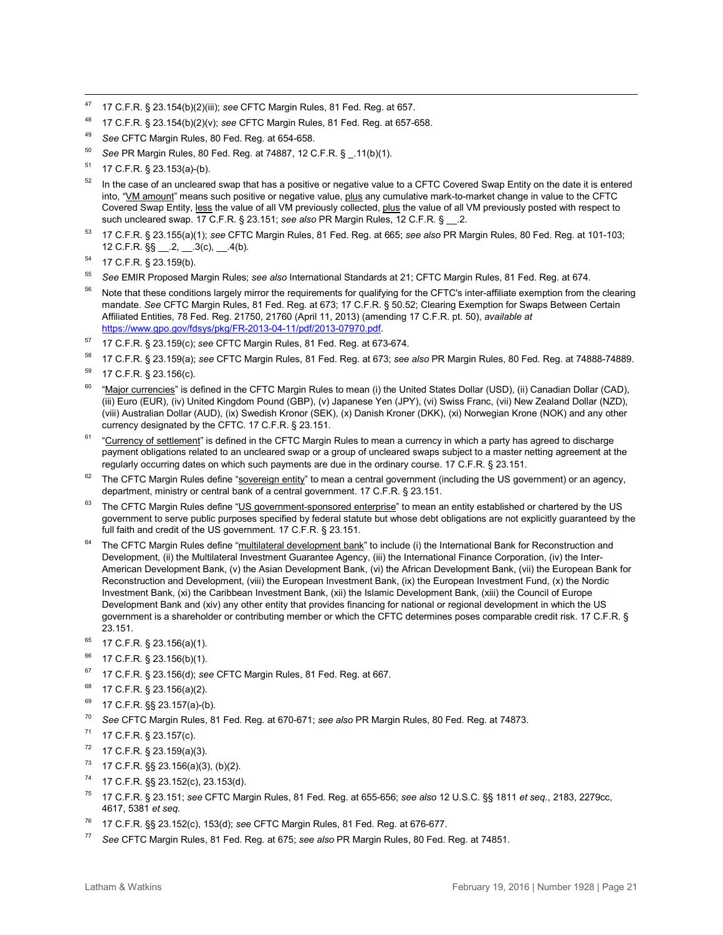- <span id="page-20-0"></span> $47$ <sup>47</sup> 17 C.F.R. § 23.154(b)(2)(iii); *see* CFTC Margin Rules, 81 Fed. Reg. at 657.
- <span id="page-20-1"></span><sup>48</sup> 17 C.F.R. § 23.154(b)(2)(v); *see* CFTC Margin Rules, 81 Fed. Reg. at 657-658.
- <span id="page-20-2"></span><sup>49</sup> *See* CFTC Margin Rules, 80 Fed. Reg. at 654-658.
- <span id="page-20-3"></span><sup>50</sup> *See* PR Margin Rules, 80 Fed. Reg. at 74887, 12 C.F.R. § \_.11(b)(1).
- <span id="page-20-4"></span><sup>51</sup> 17 C.F.R. § 23.153(a)-(b).
- <span id="page-20-5"></span> $52$  In the case of an uncleared swap that has a positive or negative value to a CFTC Covered Swap Entity on the date it is entered into, "VM amount" means such positive or negative value, plus any cumulative mark-to-market change in value to the CFTC Covered Swap Entity, less the value of all VM previously collected, plus the value of all VM previously posted with respect to such uncleared swap. 17 C.F.R. § 23.151; *see also* PR Margin Rules, 12 C.F.R. § \_\_.2.
- <span id="page-20-6"></span><sup>53</sup> 17 C.F.R. § 23.155(a)(1); *see* CFTC Margin Rules, 81 Fed. Reg. at 665; *see also* PR Margin Rules, 80 Fed. Reg. at 101-103; 12 C.F.R.  $\S\S - 2, -3(c), -4(b)$ .
- <span id="page-20-7"></span><sup>54</sup> 17 C.F.R. § 23.159(b).
- <span id="page-20-8"></span><sup>55</sup> *See* EMIR Proposed Margin Rules; *see also* International Standards at 21; CFTC Margin Rules, 81 Fed. Reg. at 674.
- <span id="page-20-9"></span>Note that these conditions largely mirror the requirements for qualifying for the CFTC's inter-affiliate exemption from the clearing mandate. *See* CFTC Margin Rules, 81 Fed. Reg. at 673; 17 C.F.R. § 50.52; Clearing Exemption for Swaps Between Certain Affiliated Entities, 78 Fed. Reg. 21750, 21760 (April 11, 2013) (amending 17 C.F.R. pt. 50), *available at*  [https://www.gpo.gov/fdsys/pkg/FR-2013-04-11/pdf/2013-07970.pdf.](https://www.gpo.gov/fdsys/pkg/FR-2013-04-11/pdf/2013-07970.pdf)
- <span id="page-20-10"></span><sup>57</sup> 17 C.F.R. § 23.159(c); *see* CFTC Margin Rules, 81 Fed. Reg. at 673-674.
- <span id="page-20-11"></span><sup>58</sup> 17 C.F.R. § 23.159(a); *see* CFTC Margin Rules, 81 Fed. Reg. at 673; *see also* PR Margin Rules, 80 Fed. Reg. at 74888-74889.
- <span id="page-20-12"></span><sup>59</sup> 17 C.F.R. § 23.156(c).
- <span id="page-20-13"></span> $60$  "Major currencies" is defined in the CFTC Margin Rules to mean (i) the United States Dollar (USD), (ii) Canadian Dollar (CAD), (iii) Euro (EUR), (iv) United Kingdom Pound (GBP), (v) Japanese Yen (JPY), (vi) Swiss Franc, (vii) New Zealand Dollar (NZD), (viii) Australian Dollar (AUD), (ix) Swedish Kronor (SEK), (x) Danish Kroner (DKK), (xi) Norwegian Krone (NOK) and any other currency designated by the CFTC. 17 C.F.R. § 23.151.
- <span id="page-20-14"></span><sup>61</sup> "Currency of settlement" is defined in the CFTC Margin Rules to mean a currency in which a party has agreed to discharge payment obligations related to an uncleared swap or a group of uncleared swaps subject to a master netting agreement at the regularly occurring dates on which such payments are due in the ordinary course. 17 C.F.R. § 23.151.
- <span id="page-20-15"></span> $62$  The CFTC Margin Rules define "sovereign entity" to mean a central government (including the US government) or an agency, department, ministry or central bank of a central government. 17 C.F.R. § 23.151.
- <span id="page-20-16"></span><sup>63</sup> The CFTC Margin Rules define "US government-sponsored enterprise" to mean an entity established or chartered by the US government to serve public purposes specified by federal statute but whose debt obligations are not explicitly guaranteed by the full faith and credit of the US government. 17 C.F.R. § 23.151.
- <span id="page-20-17"></span>The CFTC Margin Rules define "multilateral development bank" to include (i) the International Bank for Reconstruction and Development, (ii) the Multilateral Investment Guarantee Agency, (iii) the International Finance Corporation, (iv) the Inter-American Development Bank, (v) the Asian Development Bank, (vi) the African Development Bank, (vii) the European Bank for Reconstruction and Development, (viii) the European Investment Bank, (ix) the European Investment Fund, (x) the Nordic Investment Bank, (xi) the Caribbean Investment Bank, (xii) the Islamic Development Bank, (xiii) the Council of Europe Development Bank and (xiv) any other entity that provides financing for national or regional development in which the US government is a shareholder or contributing member or which the CFTC determines poses comparable credit risk. 17 C.F.R. § 23.151.
- <span id="page-20-18"></span> $65$  17 C.F.R. § 23.156(a)(1).
- <span id="page-20-19"></span> $^{66}$  17 C.F.R. § 23.156(b)(1).
- <span id="page-20-20"></span><sup>67</sup> 17 C.F.R. § 23.156(d); *see* CFTC Margin Rules, 81 Fed. Reg. at 667.
- <span id="page-20-21"></span><sup>68</sup> 17 C.F.R. § 23.156(a)(2).
- <span id="page-20-22"></span> $69$  17 C.F.R. §§ 23.157(a)-(b).
- <span id="page-20-23"></span><sup>70</sup> *See* CFTC Margin Rules, 81 Fed. Reg. at 670-671; *see also* PR Margin Rules, 80 Fed. Reg. at 74873.
- <span id="page-20-24"></span> $71$  17 C.F.R. § 23.157(c).
- <span id="page-20-25"></span> $72$  17 C.F.R. § 23.159(a)(3).
- <span id="page-20-26"></span> $73$  17 C.F.R. §§ 23.156(a)(3), (b)(2).
- <span id="page-20-27"></span><sup>74</sup> 17 C.F.R. §§ 23.152(c), 23.153(d).
- <span id="page-20-28"></span><sup>75</sup> 17 C.F.R. § 23.151; *see* CFTC Margin Rules, 81 Fed. Reg. at 655-656; *see also* 12 U.S.C. §§ 1811 *et seq.*, 2183, 2279cc, 4617, 5381 *et seq.*
- <span id="page-20-29"></span><sup>76</sup> 17 C.F.R. §§ 23.152(c), 153(d); *see* CFTC Margin Rules, 81 Fed. Reg. at 676-677.
- <span id="page-20-30"></span><sup>77</sup> *See* CFTC Margin Rules, 81 Fed. Reg. at 675; *see also* PR Margin Rules, 80 Fed. Reg. at 74851.